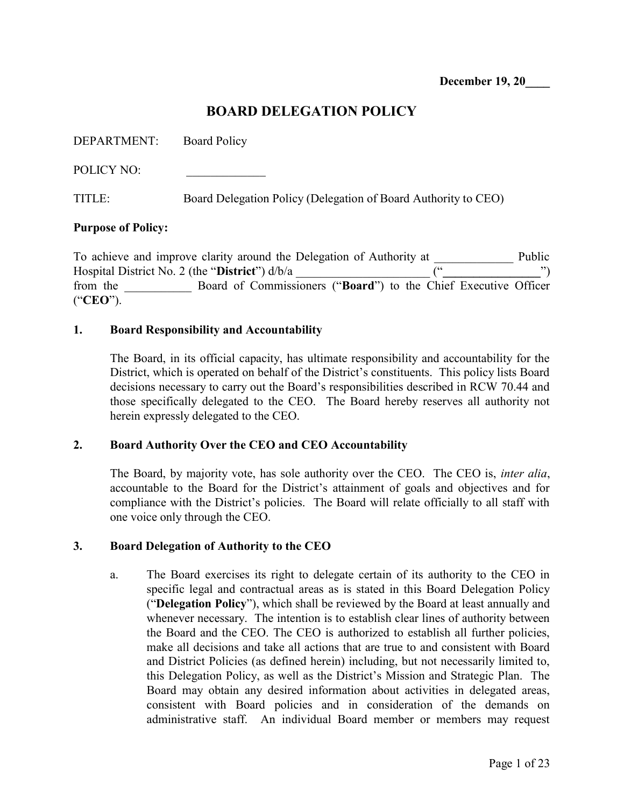## BOARD DELEGATION POLICY

POLICY NO:

TITLE: Board Delegation Policy (Delegation of Board Authority to CEO)

#### Purpose of Policy:

To achieve and improve clarity around the Delegation of Authority at Public Hospital District No. 2 (the "District")  $d/b/a$ from the \_\_\_\_\_\_\_\_\_\_\_ Board of Commissioners ("Board") to the Chief Executive Officer ("CEO").

#### 1. Board Responsibility and Accountability

The Board, in its official capacity, has ultimate responsibility and accountability for the District, which is operated on behalf of the District's constituents. This policy lists Board decisions necessary to carry out the Board's responsibilities described in RCW 70.44 and those specifically delegated to the CEO. The Board hereby reserves all authority not herein expressly delegated to the CEO.

#### 2. Board Authority Over the CEO and CEO Accountability

The Board, by majority vote, has sole authority over the CEO. The CEO is, *inter alia*, accountable to the Board for the District's attainment of goals and objectives and for compliance with the District's policies. The Board will relate officially to all staff with one voice only through the CEO.

#### 3. Board Delegation of Authority to the CEO

a. The Board exercises its right to delegate certain of its authority to the CEO in specific legal and contractual areas as is stated in this Board Delegation Policy ("Delegation Policy"), which shall be reviewed by the Board at least annually and whenever necessary. The intention is to establish clear lines of authority between the Board and the CEO. The CEO is authorized to establish all further policies, make all decisions and take all actions that are true to and consistent with Board and District Policies (as defined herein) including, but not necessarily limited to, this Delegation Policy, as well as the District's Mission and Strategic Plan. The Board may obtain any desired information about activities in delegated areas, consistent with Board policies and in consideration of the demands on administrative staff. An individual Board member or members may request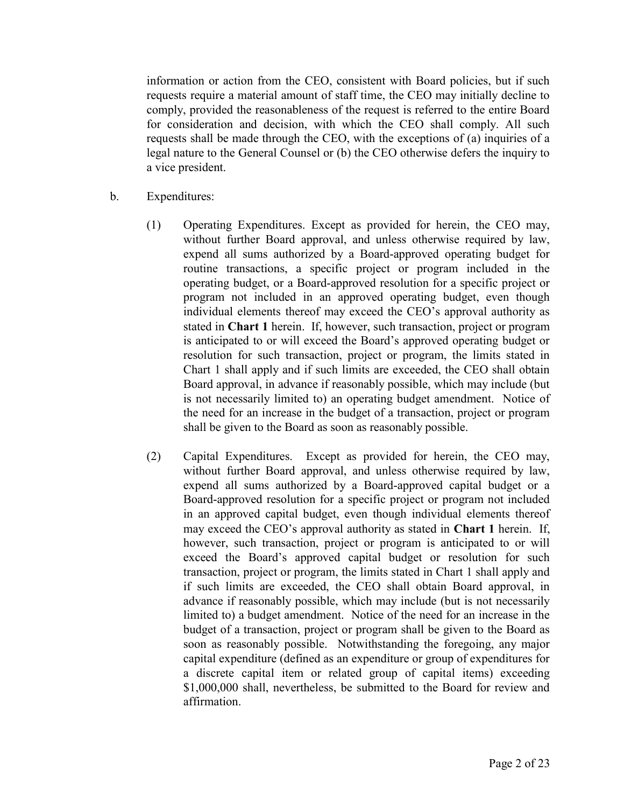information or action from the CEO, consistent with Board policies, but if such requests require a material amount of staff time, the CEO may initially decline to comply, provided the reasonableness of the request is referred to the entire Board for consideration and decision, with which the CEO shall comply. All such requests shall be made through the CEO, with the exceptions of (a) inquiries of a legal nature to the General Counsel or (b) the CEO otherwise defers the inquiry to a vice president.

- b. Expenditures:
	- (1) Operating Expenditures. Except as provided for herein, the CEO may, without further Board approval, and unless otherwise required by law, expend all sums authorized by a Board-approved operating budget for routine transactions, a specific project or program included in the operating budget, or a Board-approved resolution for a specific project or program not included in an approved operating budget, even though individual elements thereof may exceed the CEO's approval authority as stated in Chart 1 herein. If, however, such transaction, project or program is anticipated to or will exceed the Board's approved operating budget or resolution for such transaction, project or program, the limits stated in Chart 1 shall apply and if such limits are exceeded, the CEO shall obtain Board approval, in advance if reasonably possible, which may include (but is not necessarily limited to) an operating budget amendment. Notice of the need for an increase in the budget of a transaction, project or program shall be given to the Board as soon as reasonably possible.
	- (2) Capital Expenditures. Except as provided for herein, the CEO may, without further Board approval, and unless otherwise required by law, expend all sums authorized by a Board-approved capital budget or a Board-approved resolution for a specific project or program not included in an approved capital budget, even though individual elements thereof may exceed the CEO's approval authority as stated in Chart 1 herein. If, however, such transaction, project or program is anticipated to or will exceed the Board's approved capital budget or resolution for such transaction, project or program, the limits stated in Chart 1 shall apply and if such limits are exceeded, the CEO shall obtain Board approval, in advance if reasonably possible, which may include (but is not necessarily limited to) a budget amendment. Notice of the need for an increase in the budget of a transaction, project or program shall be given to the Board as soon as reasonably possible. Notwithstanding the foregoing, any major capital expenditure (defined as an expenditure or group of expenditures for a discrete capital item or related group of capital items) exceeding \$1,000,000 shall, nevertheless, be submitted to the Board for review and affirmation.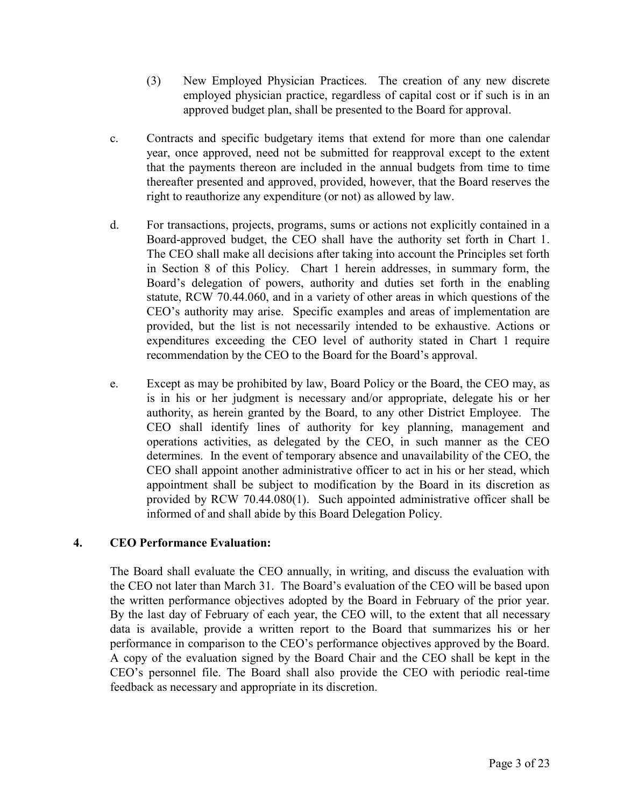- (3) New Employed Physician Practices. The creation of any new discrete employed physician practice, regardless of capital cost or if such is in an approved budget plan, shall be presented to the Board for approval.
- c. Contracts and specific budgetary items that extend for more than one calendar year, once approved, need not be submitted for reapproval except to the extent that the payments thereon are included in the annual budgets from time to time thereafter presented and approved, provided, however, that the Board reserves the right to reauthorize any expenditure (or not) as allowed by law.
- d. For transactions, projects, programs, sums or actions not explicitly contained in a Board-approved budget, the CEO shall have the authority set forth in Chart 1. The CEO shall make all decisions after taking into account the Principles set forth in Section 8 of this Policy. Chart 1 herein addresses, in summary form, the Board's delegation of powers, authority and duties set forth in the enabling statute, RCW 70.44.060, and in a variety of other areas in which questions of the CEO's authority may arise. Specific examples and areas of implementation are provided, but the list is not necessarily intended to be exhaustive. Actions or expenditures exceeding the CEO level of authority stated in Chart 1 require recommendation by the CEO to the Board for the Board's approval.
- e. Except as may be prohibited by law, Board Policy or the Board, the CEO may, as is in his or her judgment is necessary and/or appropriate, delegate his or her authority, as herein granted by the Board, to any other District Employee. The CEO shall identify lines of authority for key planning, management and operations activities, as delegated by the CEO, in such manner as the CEO determines. In the event of temporary absence and unavailability of the CEO, the CEO shall appoint another administrative officer to act in his or her stead, which appointment shall be subject to modification by the Board in its discretion as provided by RCW 70.44.080(1). Such appointed administrative officer shall be informed of and shall abide by this Board Delegation Policy.

## 4. CEO Performance Evaluation:

The Board shall evaluate the CEO annually, in writing, and discuss the evaluation with the CEO not later than March 31. The Board's evaluation of the CEO will be based upon the written performance objectives adopted by the Board in February of the prior year. By the last day of February of each year, the CEO will, to the extent that all necessary data is available, provide a written report to the Board that summarizes his or her performance in comparison to the CEO's performance objectives approved by the Board. A copy of the evaluation signed by the Board Chair and the CEO shall be kept in the CEO's personnel file. The Board shall also provide the CEO with periodic real-time feedback as necessary and appropriate in its discretion.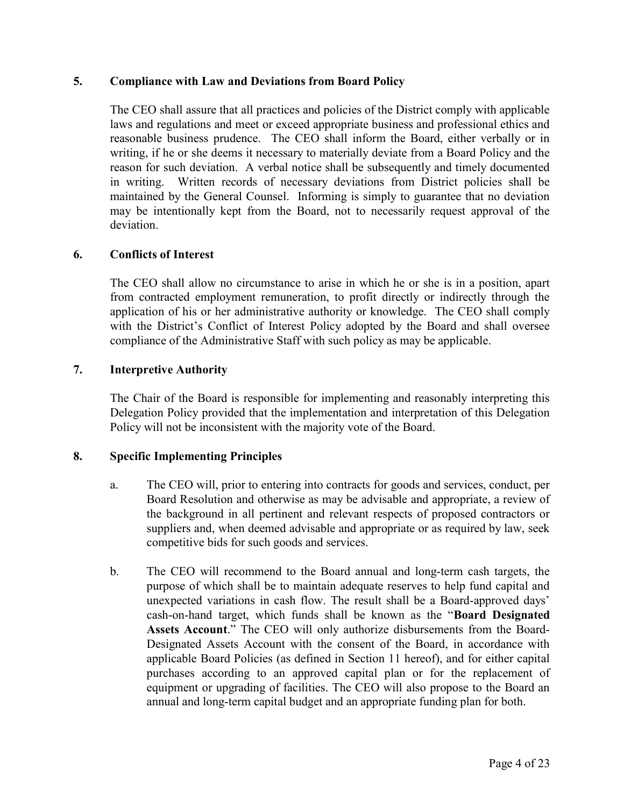#### 5. Compliance with Law and Deviations from Board Policy

The CEO shall assure that all practices and policies of the District comply with applicable laws and regulations and meet or exceed appropriate business and professional ethics and reasonable business prudence. The CEO shall inform the Board, either verbally or in writing, if he or she deems it necessary to materially deviate from a Board Policy and the reason for such deviation. A verbal notice shall be subsequently and timely documented in writing. Written records of necessary deviations from District policies shall be maintained by the General Counsel. Informing is simply to guarantee that no deviation may be intentionally kept from the Board, not to necessarily request approval of the deviation.

#### 6. Conflicts of Interest

The CEO shall allow no circumstance to arise in which he or she is in a position, apart from contracted employment remuneration, to profit directly or indirectly through the application of his or her administrative authority or knowledge. The CEO shall comply with the District's Conflict of Interest Policy adopted by the Board and shall oversee compliance of the Administrative Staff with such policy as may be applicable.

#### 7. Interpretive Authority

The Chair of the Board is responsible for implementing and reasonably interpreting this Delegation Policy provided that the implementation and interpretation of this Delegation Policy will not be inconsistent with the majority vote of the Board.

#### 8. Specific Implementing Principles

- a. The CEO will, prior to entering into contracts for goods and services, conduct, per Board Resolution and otherwise as may be advisable and appropriate, a review of the background in all pertinent and relevant respects of proposed contractors or suppliers and, when deemed advisable and appropriate or as required by law, seek competitive bids for such goods and services.
- b. The CEO will recommend to the Board annual and long-term cash targets, the purpose of which shall be to maintain adequate reserves to help fund capital and unexpected variations in cash flow. The result shall be a Board-approved days' cash-on-hand target, which funds shall be known as the "Board Designated Assets Account." The CEO will only authorize disbursements from the Board-Designated Assets Account with the consent of the Board, in accordance with applicable Board Policies (as defined in Section 11 hereof), and for either capital purchases according to an approved capital plan or for the replacement of equipment or upgrading of facilities. The CEO will also propose to the Board an annual and long-term capital budget and an appropriate funding plan for both.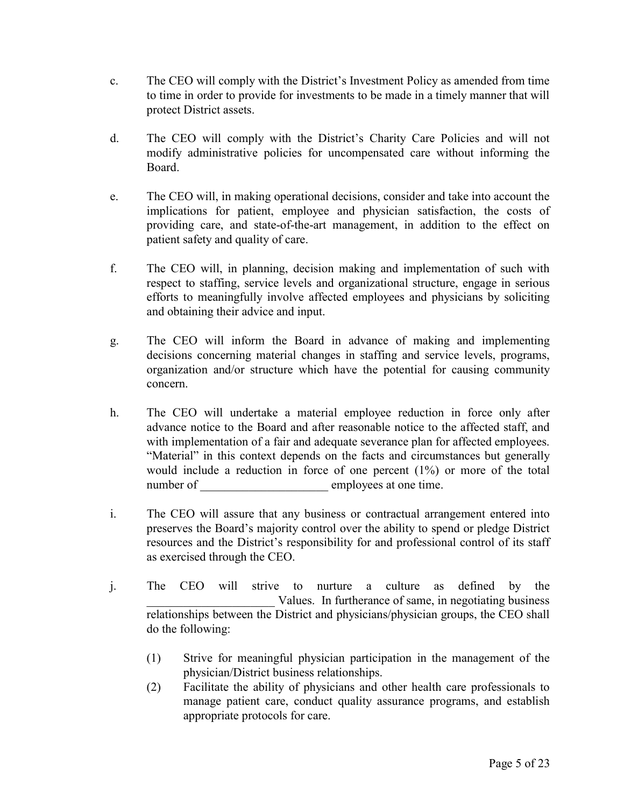- c. The CEO will comply with the District's Investment Policy as amended from time to time in order to provide for investments to be made in a timely manner that will protect District assets.
- d. The CEO will comply with the District's Charity Care Policies and will not modify administrative policies for uncompensated care without informing the Board.
- e. The CEO will, in making operational decisions, consider and take into account the implications for patient, employee and physician satisfaction, the costs of providing care, and state-of-the-art management, in addition to the effect on patient safety and quality of care.
- f. The CEO will, in planning, decision making and implementation of such with respect to staffing, service levels and organizational structure, engage in serious efforts to meaningfully involve affected employees and physicians by soliciting and obtaining their advice and input.
- g. The CEO will inform the Board in advance of making and implementing decisions concerning material changes in staffing and service levels, programs, organization and/or structure which have the potential for causing community concern.
- h. The CEO will undertake a material employee reduction in force only after advance notice to the Board and after reasonable notice to the affected staff, and with implementation of a fair and adequate severance plan for affected employees. "Material" in this context depends on the facts and circumstances but generally would include a reduction in force of one percent (1%) or more of the total number of employees at one time.
- i. The CEO will assure that any business or contractual arrangement entered into preserves the Board's majority control over the ability to spend or pledge District resources and the District's responsibility for and professional control of its staff as exercised through the CEO.
- j. The CEO will strive to nurture a culture as defined by the Values. In furtherance of same, in negotiating business relationships between the District and physicians/physician groups, the CEO shall do the following:
	- (1) Strive for meaningful physician participation in the management of the physician/District business relationships.
	- (2) Facilitate the ability of physicians and other health care professionals to manage patient care, conduct quality assurance programs, and establish appropriate protocols for care.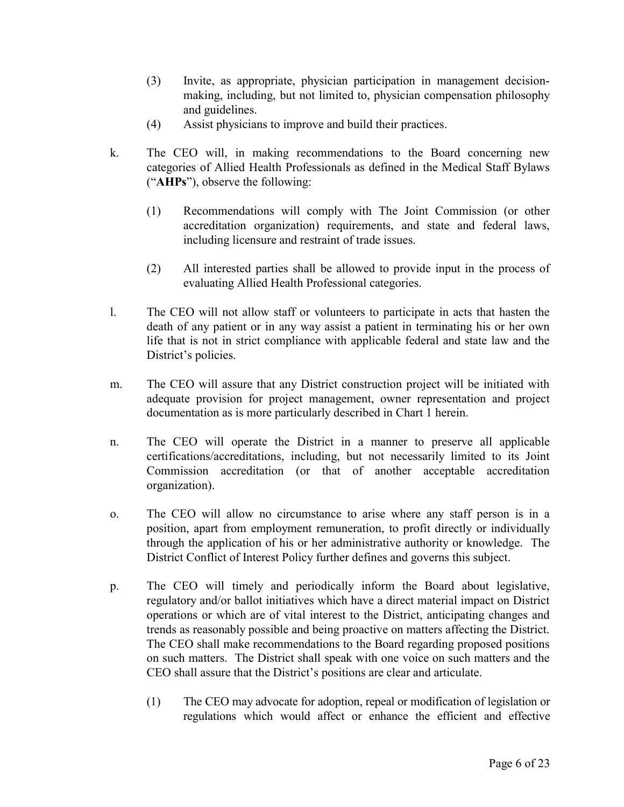- (3) Invite, as appropriate, physician participation in management decisionmaking, including, but not limited to, physician compensation philosophy and guidelines.
- (4) Assist physicians to improve and build their practices.
- k. The CEO will, in making recommendations to the Board concerning new categories of Allied Health Professionals as defined in the Medical Staff Bylaws ("AHPs"), observe the following:
	- (1) Recommendations will comply with The Joint Commission (or other accreditation organization) requirements, and state and federal laws, including licensure and restraint of trade issues.
	- (2) All interested parties shall be allowed to provide input in the process of evaluating Allied Health Professional categories.
- l. The CEO will not allow staff or volunteers to participate in acts that hasten the death of any patient or in any way assist a patient in terminating his or her own life that is not in strict compliance with applicable federal and state law and the District's policies.
- m. The CEO will assure that any District construction project will be initiated with adequate provision for project management, owner representation and project documentation as is more particularly described in Chart 1 herein.
- n. The CEO will operate the District in a manner to preserve all applicable certifications/accreditations, including, but not necessarily limited to its Joint Commission accreditation (or that of another acceptable accreditation organization).
- o. The CEO will allow no circumstance to arise where any staff person is in a position, apart from employment remuneration, to profit directly or individually through the application of his or her administrative authority or knowledge. The District Conflict of Interest Policy further defines and governs this subject.
- p. The CEO will timely and periodically inform the Board about legislative, regulatory and/or ballot initiatives which have a direct material impact on District operations or which are of vital interest to the District, anticipating changes and trends as reasonably possible and being proactive on matters affecting the District. The CEO shall make recommendations to the Board regarding proposed positions on such matters. The District shall speak with one voice on such matters and the CEO shall assure that the District's positions are clear and articulate.
	- (1) The CEO may advocate for adoption, repeal or modification of legislation or regulations which would affect or enhance the efficient and effective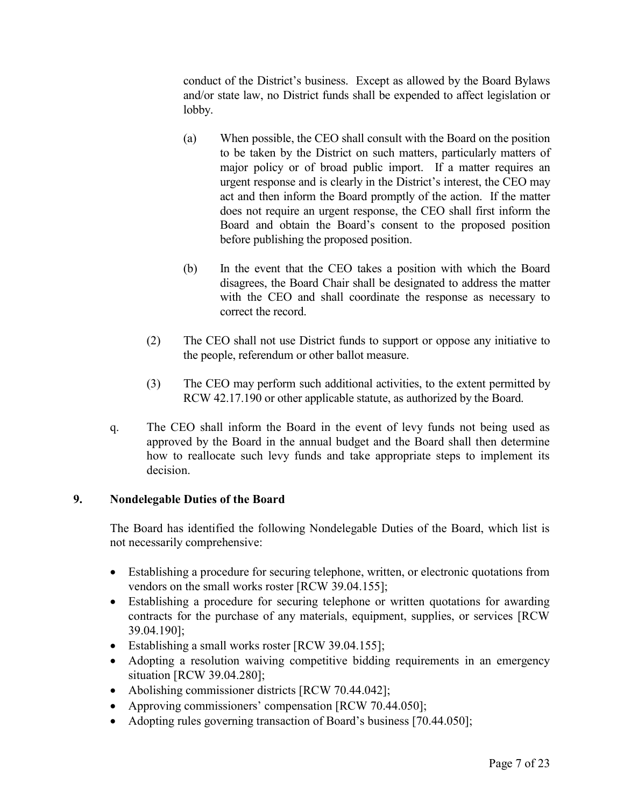conduct of the District's business. Except as allowed by the Board Bylaws and/or state law, no District funds shall be expended to affect legislation or lobby.

- (a) When possible, the CEO shall consult with the Board on the position to be taken by the District on such matters, particularly matters of major policy or of broad public import. If a matter requires an urgent response and is clearly in the District's interest, the CEO may act and then inform the Board promptly of the action. If the matter does not require an urgent response, the CEO shall first inform the Board and obtain the Board's consent to the proposed position before publishing the proposed position.
- (b) In the event that the CEO takes a position with which the Board disagrees, the Board Chair shall be designated to address the matter with the CEO and shall coordinate the response as necessary to correct the record.
- (2) The CEO shall not use District funds to support or oppose any initiative to the people, referendum or other ballot measure.
- (3) The CEO may perform such additional activities, to the extent permitted by RCW 42.17.190 or other applicable statute, as authorized by the Board.
- q. The CEO shall inform the Board in the event of levy funds not being used as approved by the Board in the annual budget and the Board shall then determine how to reallocate such levy funds and take appropriate steps to implement its decision.

## 9. Nondelegable Duties of the Board

The Board has identified the following Nondelegable Duties of the Board, which list is not necessarily comprehensive:

- Establishing a procedure for securing telephone, written, or electronic quotations from vendors on the small works roster [RCW 39.04.155];
- Establishing a procedure for securing telephone or written quotations for awarding contracts for the purchase of any materials, equipment, supplies, or services [RCW 39.04.190];
- Establishing a small works roster [RCW 39.04.155];
- Adopting a resolution waiving competitive bidding requirements in an emergency situation [RCW 39.04.280];
- Abolishing commissioner districts [RCW 70.44.042];
- Approving commissioners' compensation [RCW 70.44.050];
- Adopting rules governing transaction of Board's business [70.44.050];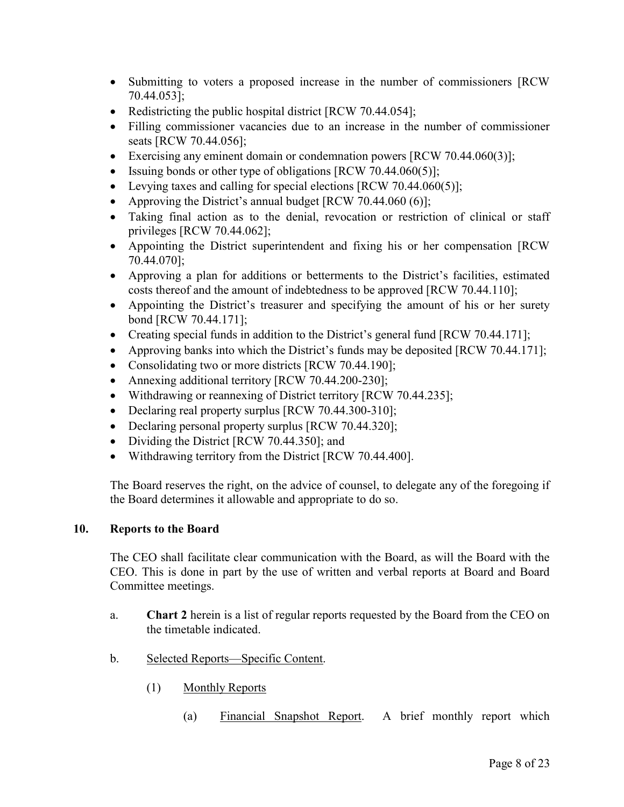- Submitting to voters a proposed increase in the number of commissioners [RCW] 70.44.053];
- Redistricting the public hospital district [RCW 70.44.054];
- Filling commissioner vacancies due to an increase in the number of commissioner seats [RCW 70.44.056];
- Exercising any eminent domain or condemnation powers [RCW 70.44.060(3)];
- $\bullet$  Issuing bonds or other type of obligations [RCW 70.44.060(5)];
- Evelopting taxes and calling for special elections  $[RCW 70.44.060(5)]$ ;
- Approving the District's annual budget  $[RCW 70.44.060 (6)]$ ;
- Taking final action as to the denial, revocation or restriction of clinical or staff privileges [RCW 70.44.062];
- Appointing the District superintendent and fixing his or her compensation [RCW 70.44.070];
- Approving a plan for additions or betterments to the District's facilities, estimated costs thereof and the amount of indebtedness to be approved [RCW 70.44.110];
- Appointing the District's treasurer and specifying the amount of his or her surety bond [RCW 70.44.171];
- Creating special funds in addition to the District's general fund [RCW 70.44.171];
- Approving banks into which the District's funds may be deposited [RCW 70.44.171];
- Consolidating two or more districts [RCW 70.44.190];
- Annexing additional territory [RCW 70.44.200-230];
- Withdrawing or reannexing of District territory [RCW 70.44.235];
- Declaring real property surplus [RCW 70.44.300-310];
- Declaring personal property surplus [RCW 70.44.320];
- Dividing the District [RCW 70.44.350]; and
- Withdrawing territory from the District [RCW 70.44.400].

The Board reserves the right, on the advice of counsel, to delegate any of the foregoing if the Board determines it allowable and appropriate to do so.

#### 10. Reports to the Board

The CEO shall facilitate clear communication with the Board, as will the Board with the CEO. This is done in part by the use of written and verbal reports at Board and Board Committee meetings.

- a. Chart 2 herein is a list of regular reports requested by the Board from the CEO on the timetable indicated.
- b. Selected Reports—Specific Content.
	- (1) Monthly Reports
		- (a) Financial Snapshot Report. A brief monthly report which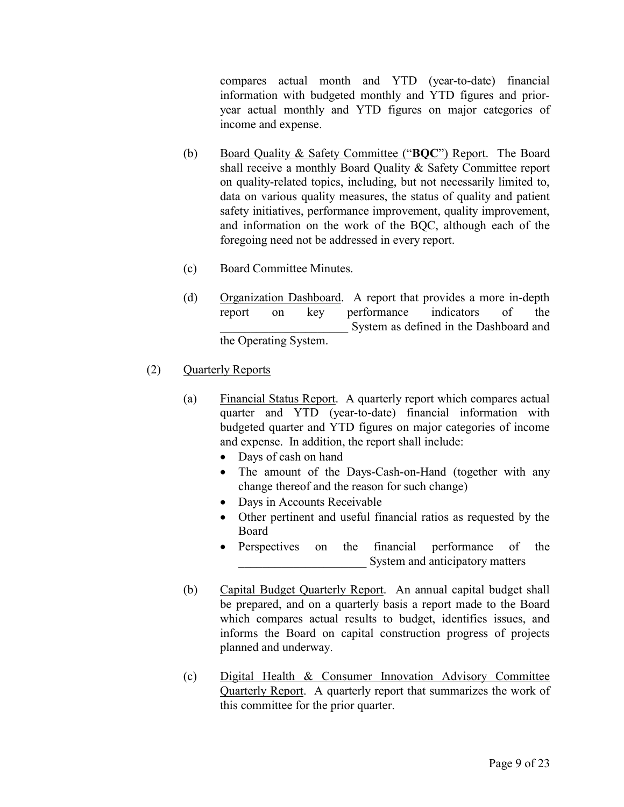compares actual month and YTD (year-to-date) financial information with budgeted monthly and YTD figures and prioryear actual monthly and YTD figures on major categories of income and expense.

- (b) Board Quality & Safety Committee ("BQC") Report. The Board shall receive a monthly Board Quality & Safety Committee report on quality-related topics, including, but not necessarily limited to, data on various quality measures, the status of quality and patient safety initiatives, performance improvement, quality improvement, and information on the work of the BQC, although each of the foregoing need not be addressed in every report.
- (c) Board Committee Minutes.
- (d) Organization Dashboard. A report that provides a more in-depth report on key performance indicators of the System as defined in the Dashboard and the Operating System.
- (2) Quarterly Reports
	- (a) Financial Status Report. A quarterly report which compares actual quarter and YTD (year-to-date) financial information with budgeted quarter and YTD figures on major categories of income and expense. In addition, the report shall include:
		- Days of cash on hand
		- The amount of the Days-Cash-on-Hand (together with any change thereof and the reason for such change)
		- Days in Accounts Receivable
		- Other pertinent and useful financial ratios as requested by the Board
		- Perspectives on the financial performance of the System and anticipatory matters
	- (b) Capital Budget Quarterly Report. An annual capital budget shall be prepared, and on a quarterly basis a report made to the Board which compares actual results to budget, identifies issues, and informs the Board on capital construction progress of projects planned and underway.
	- (c) Digital Health & Consumer Innovation Advisory Committee Quarterly Report. A quarterly report that summarizes the work of this committee for the prior quarter.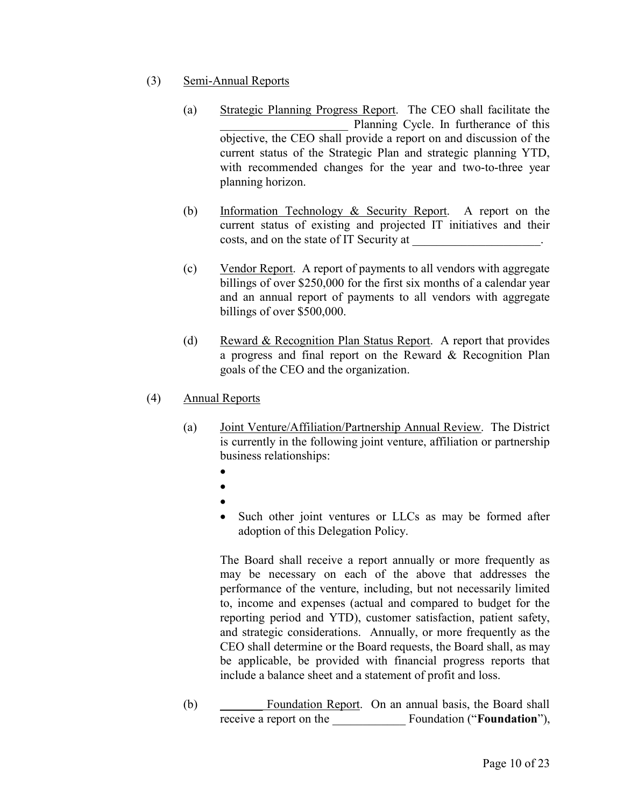- (3) Semi-Annual Reports
	- (a) Strategic Planning Progress Report. The CEO shall facilitate the Planning Cycle. In furtherance of this objective, the CEO shall provide a report on and discussion of the current status of the Strategic Plan and strategic planning YTD, with recommended changes for the year and two-to-three year planning horizon.
	- (b) Information Technology & Security Report. A report on the current status of existing and projected IT initiatives and their costs, and on the state of IT Security at \_\_\_\_\_\_\_\_\_\_\_\_\_\_\_\_\_\_\_\_\_.
	- (c) Vendor Report. A report of payments to all vendors with aggregate billings of over \$250,000 for the first six months of a calendar year and an annual report of payments to all vendors with aggregate billings of over \$500,000.
	- (d) Reward & Recognition Plan Status Report. A report that provides a progress and final report on the Reward & Recognition Plan goals of the CEO and the organization.
- (4) Annual Reports
	- (a) Joint Venture/Affiliation/Partnership Annual Review. The District is currently in the following joint venture, affiliation or partnership business relationships:
		- $\bullet$
		- $\bullet$
		- $\bullet$
		- Such other joint ventures or LLCs as may be formed after adoption of this Delegation Policy.

The Board shall receive a report annually or more frequently as may be necessary on each of the above that addresses the performance of the venture, including, but not necessarily limited to, income and expenses (actual and compared to budget for the reporting period and YTD), customer satisfaction, patient safety, and strategic considerations. Annually, or more frequently as the CEO shall determine or the Board requests, the Board shall, as may be applicable, be provided with financial progress reports that include a balance sheet and a statement of profit and loss.

(b) \_\_\_\_\_\_\_ Foundation Report. On an annual basis, the Board shall receive a report on the Foundation ("Foundation"),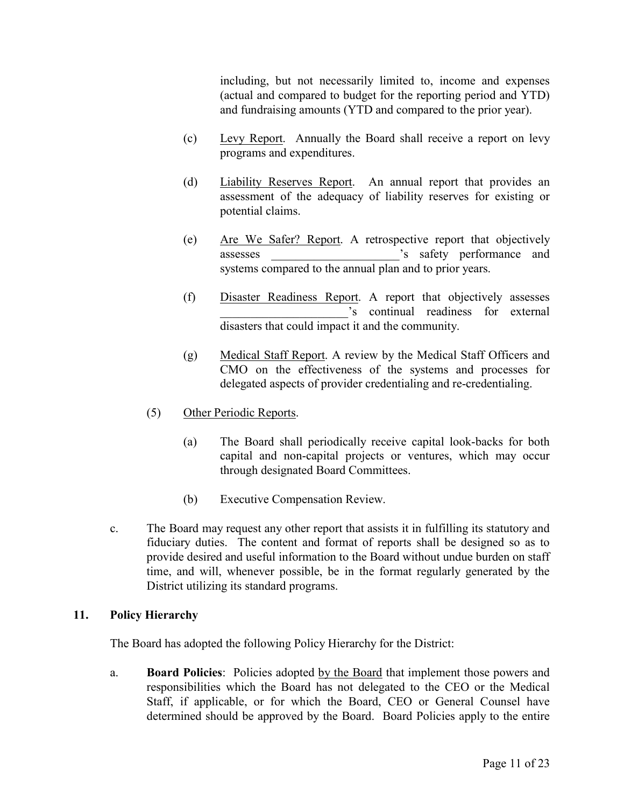including, but not necessarily limited to, income and expenses (actual and compared to budget for the reporting period and YTD) and fundraising amounts (YTD and compared to the prior year).

- (c) Levy Report. Annually the Board shall receive a report on levy programs and expenditures.
- (d) Liability Reserves Report. An annual report that provides an assessment of the adequacy of liability reserves for existing or potential claims.
- (e) Are We Safer? Report. A retrospective report that objectively assesses  $\sim$  's safety performance and systems compared to the annual plan and to prior years.
- (f) Disaster Readiness Report. A report that objectively assesses \_\_\_\_\_\_\_\_\_\_\_\_\_\_\_\_\_\_\_\_\_'s continual readiness for external disasters that could impact it and the community.
- (g) Medical Staff Report. A review by the Medical Staff Officers and CMO on the effectiveness of the systems and processes for delegated aspects of provider credentialing and re-credentialing.
- (5) Other Periodic Reports.
	- (a) The Board shall periodically receive capital look-backs for both capital and non-capital projects or ventures, which may occur through designated Board Committees.
	- (b) Executive Compensation Review.
- c. The Board may request any other report that assists it in fulfilling its statutory and fiduciary duties. The content and format of reports shall be designed so as to provide desired and useful information to the Board without undue burden on staff time, and will, whenever possible, be in the format regularly generated by the District utilizing its standard programs.

## 11. Policy Hierarchy

The Board has adopted the following Policy Hierarchy for the District:

a. Board Policies: Policies adopted by the Board that implement those powers and responsibilities which the Board has not delegated to the CEO or the Medical Staff, if applicable, or for which the Board, CEO or General Counsel have determined should be approved by the Board. Board Policies apply to the entire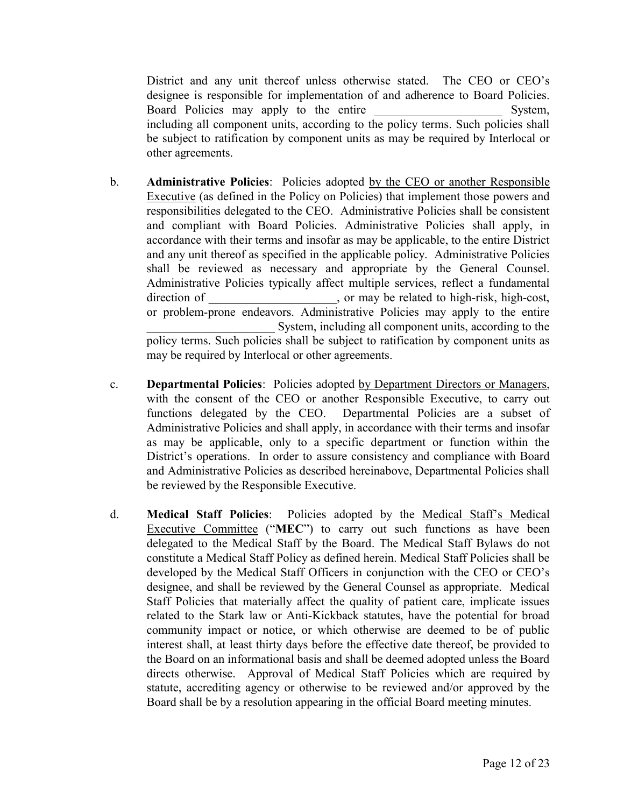District and any unit thereof unless otherwise stated. The CEO or CEO's designee is responsible for implementation of and adherence to Board Policies. Board Policies may apply to the entire Theorem System, including all component units, according to the policy terms. Such policies shall be subject to ratification by component units as may be required by Interlocal or other agreements.

- b. Administrative Policies: Policies adopted by the CEO or another Responsible Executive (as defined in the Policy on Policies) that implement those powers and responsibilities delegated to the CEO. Administrative Policies shall be consistent and compliant with Board Policies. Administrative Policies shall apply, in accordance with their terms and insofar as may be applicable, to the entire District and any unit thereof as specified in the applicable policy. Administrative Policies shall be reviewed as necessary and appropriate by the General Counsel. Administrative Policies typically affect multiple services, reflect a fundamental direction of  $\qquad \qquad$ , or may be related to high-risk, high-cost, or problem-prone endeavors. Administrative Policies may apply to the entire System, including all component units, according to the policy terms. Such policies shall be subject to ratification by component units as may be required by Interlocal or other agreements.
- c. Departmental Policies: Policies adopted by Department Directors or Managers, with the consent of the CEO or another Responsible Executive, to carry out functions delegated by the CEO. Departmental Policies are a subset of Administrative Policies and shall apply, in accordance with their terms and insofar as may be applicable, only to a specific department or function within the District's operations. In order to assure consistency and compliance with Board and Administrative Policies as described hereinabove, Departmental Policies shall be reviewed by the Responsible Executive.
- d. Medical Staff Policies: Policies adopted by the Medical Staff's Medical Executive Committee ("MEC") to carry out such functions as have been delegated to the Medical Staff by the Board. The Medical Staff Bylaws do not constitute a Medical Staff Policy as defined herein. Medical Staff Policies shall be developed by the Medical Staff Officers in conjunction with the CEO or CEO's designee, and shall be reviewed by the General Counsel as appropriate. Medical Staff Policies that materially affect the quality of patient care, implicate issues related to the Stark law or Anti-Kickback statutes, have the potential for broad community impact or notice, or which otherwise are deemed to be of public interest shall, at least thirty days before the effective date thereof, be provided to the Board on an informational basis and shall be deemed adopted unless the Board directs otherwise. Approval of Medical Staff Policies which are required by statute, accrediting agency or otherwise to be reviewed and/or approved by the Board shall be by a resolution appearing in the official Board meeting minutes.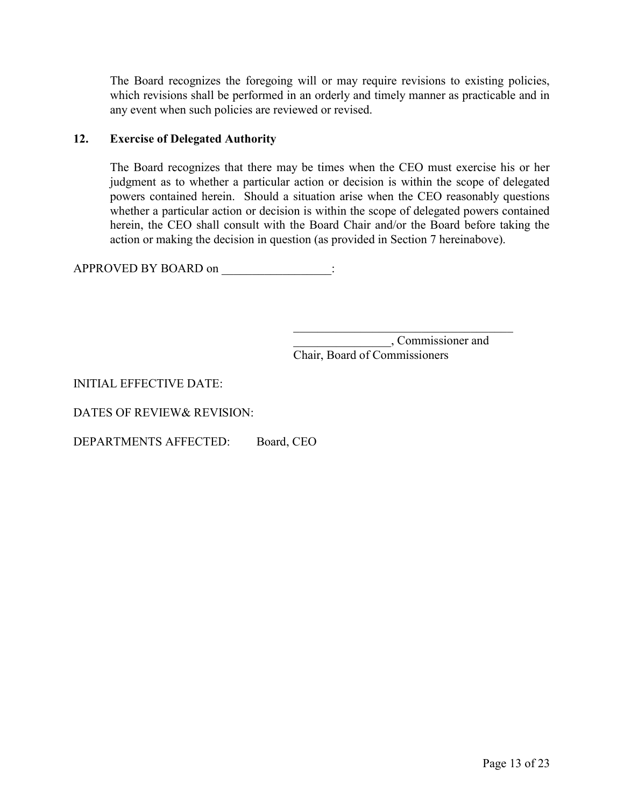The Board recognizes the foregoing will or may require revisions to existing policies, which revisions shall be performed in an orderly and timely manner as practicable and in any event when such policies are reviewed or revised.

## 12. Exercise of Delegated Authority

The Board recognizes that there may be times when the CEO must exercise his or her judgment as to whether a particular action or decision is within the scope of delegated powers contained herein. Should a situation arise when the CEO reasonably questions whether a particular action or decision is within the scope of delegated powers contained herein, the CEO shall consult with the Board Chair and/or the Board before taking the action or making the decision in question (as provided in Section 7 hereinabove).

APPROVED BY BOARD on  $\therefore$ 

 \_\_\_\_\_\_\_\_\_\_\_\_\_\_\_\_, Commissioner and Chair, Board of Commissioners

## INITIAL EFFECTIVE DATE:

DATES OF REVIEW& REVISION:

DEPARTMENTS AFFECTED: Board, CEO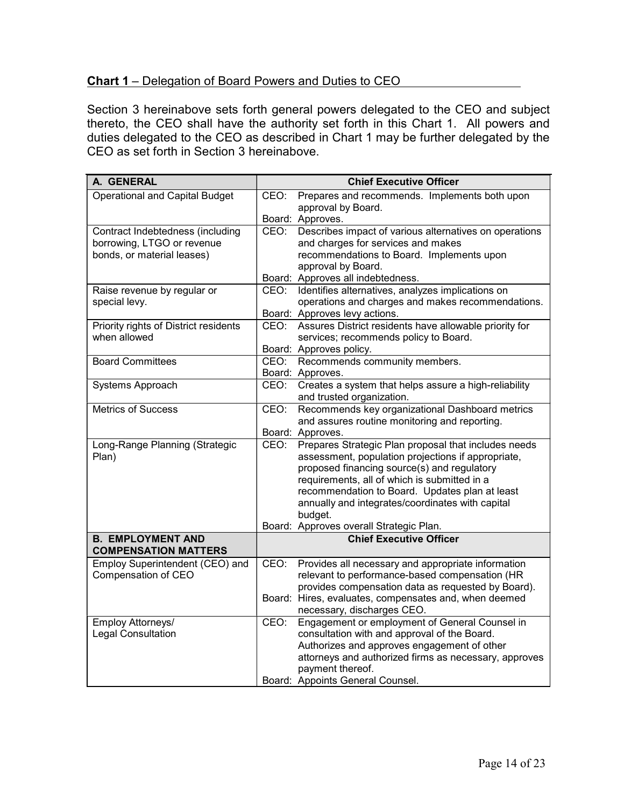## Chart 1 – Delegation of Board Powers and Duties to CEO

Section 3 hereinabove sets forth general powers delegated to the CEO and subject thereto, the CEO shall have the authority set forth in this Chart 1. All powers and duties delegated to the CEO as described in Chart 1 may be further delegated by the CEO as set forth in Section 3 hereinabove.

| A. GENERAL                                            | <b>Chief Executive Officer</b>                                                                  |
|-------------------------------------------------------|-------------------------------------------------------------------------------------------------|
| <b>Operational and Capital Budget</b>                 | Prepares and recommends. Implements both upon<br>CEO:                                           |
|                                                       | approval by Board.                                                                              |
|                                                       | Board: Approves.                                                                                |
| Contract Indebtedness (including                      | CEO:<br>Describes impact of various alternatives on operations                                  |
| borrowing, LTGO or revenue                            | and charges for services and makes                                                              |
| bonds, or material leases)                            | recommendations to Board. Implements upon                                                       |
|                                                       | approval by Board.                                                                              |
|                                                       | Board: Approves all indebtedness.<br>Identifies alternatives, analyzes implications on          |
| Raise revenue by regular or<br>special levy.          | CEO:<br>operations and charges and makes recommendations.                                       |
|                                                       | Board: Approves levy actions.                                                                   |
|                                                       | CEO:                                                                                            |
| Priority rights of District residents<br>when allowed | Assures District residents have allowable priority for<br>services; recommends policy to Board. |
|                                                       |                                                                                                 |
| <b>Board Committees</b>                               | Board: Approves policy.<br>Recommends community members.<br>CEO:                                |
|                                                       | Board: Approves.                                                                                |
| Systems Approach                                      | Creates a system that helps assure a high-reliability<br>CEO:                                   |
|                                                       | and trusted organization.                                                                       |
| <b>Metrics of Success</b>                             | Recommends key organizational Dashboard metrics<br>CEO:                                         |
|                                                       | and assures routine monitoring and reporting.                                                   |
|                                                       | Board: Approves.                                                                                |
| Long-Range Planning (Strategic                        | Prepares Strategic Plan proposal that includes needs<br>CEO:                                    |
| Plan)                                                 | assessment, population projections if appropriate,                                              |
|                                                       | proposed financing source(s) and regulatory                                                     |
|                                                       | requirements, all of which is submitted in a                                                    |
|                                                       | recommendation to Board. Updates plan at least                                                  |
|                                                       | annually and integrates/coordinates with capital                                                |
|                                                       | budget.                                                                                         |
|                                                       | Board: Approves overall Strategic Plan.                                                         |
| <b>B. EMPLOYMENT AND</b>                              | <b>Chief Executive Officer</b>                                                                  |
| <b>COMPENSATION MATTERS</b>                           |                                                                                                 |
| Employ Superintendent (CEO) and                       | CEO:<br>Provides all necessary and appropriate information                                      |
| Compensation of CEO                                   | relevant to performance-based compensation (HR                                                  |
|                                                       | provides compensation data as requested by Board).                                              |
|                                                       | Board: Hires, evaluates, compensates and, when deemed                                           |
|                                                       | necessary, discharges CEO.                                                                      |
| Employ Attorneys/                                     | Engagement or employment of General Counsel in<br>CEO:                                          |
| <b>Legal Consultation</b>                             | consultation with and approval of the Board.                                                    |
|                                                       | Authorizes and approves engagement of other                                                     |
|                                                       | attorneys and authorized firms as necessary, approves                                           |
|                                                       | payment thereof.                                                                                |
|                                                       | Board: Appoints General Counsel.                                                                |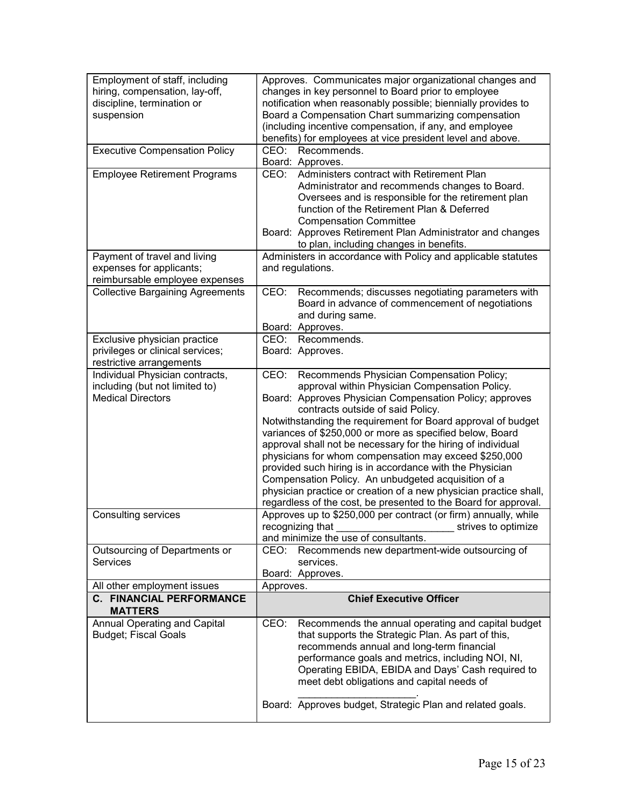| Employment of staff, including<br>hiring, compensation, lay-off,<br>discipline, termination or<br>suspension | Approves. Communicates major organizational changes and<br>changes in key personnel to Board prior to employee<br>notification when reasonably possible; biennially provides to<br>Board a Compensation Chart summarizing compensation<br>(including incentive compensation, if any, and employee<br>benefits) for employees at vice president level and above.                                                                                                                                                                                                                                                                                                                                                     |
|--------------------------------------------------------------------------------------------------------------|---------------------------------------------------------------------------------------------------------------------------------------------------------------------------------------------------------------------------------------------------------------------------------------------------------------------------------------------------------------------------------------------------------------------------------------------------------------------------------------------------------------------------------------------------------------------------------------------------------------------------------------------------------------------------------------------------------------------|
| <b>Executive Compensation Policy</b>                                                                         | CEO:<br>Recommends.<br>Board: Approves.                                                                                                                                                                                                                                                                                                                                                                                                                                                                                                                                                                                                                                                                             |
| <b>Employee Retirement Programs</b>                                                                          | Administers contract with Retirement Plan<br>CEO:<br>Administrator and recommends changes to Board.<br>Oversees and is responsible for the retirement plan<br>function of the Retirement Plan & Deferred<br><b>Compensation Committee</b><br>Board: Approves Retirement Plan Administrator and changes<br>to plan, including changes in benefits.                                                                                                                                                                                                                                                                                                                                                                   |
| Payment of travel and living<br>expenses for applicants;<br>reimbursable employee expenses                   | Administers in accordance with Policy and applicable statutes<br>and regulations.                                                                                                                                                                                                                                                                                                                                                                                                                                                                                                                                                                                                                                   |
| <b>Collective Bargaining Agreements</b>                                                                      | CEO: Recommends; discusses negotiating parameters with<br>Board in advance of commencement of negotiations<br>and during same.<br>Board: Approves.                                                                                                                                                                                                                                                                                                                                                                                                                                                                                                                                                                  |
| Exclusive physician practice                                                                                 | CEO:<br>Recommends.                                                                                                                                                                                                                                                                                                                                                                                                                                                                                                                                                                                                                                                                                                 |
| privileges or clinical services;<br>restrictive arrangements                                                 | Board: Approves.                                                                                                                                                                                                                                                                                                                                                                                                                                                                                                                                                                                                                                                                                                    |
| Individual Physician contracts,<br>including (but not limited to)<br><b>Medical Directors</b>                | Recommends Physician Compensation Policy;<br>CEO:<br>approval within Physician Compensation Policy.<br>Board: Approves Physician Compensation Policy; approves<br>contracts outside of said Policy.<br>Notwithstanding the requirement for Board approval of budget<br>variances of \$250,000 or more as specified below, Board<br>approval shall not be necessary for the hiring of individual<br>physicians for whom compensation may exceed \$250,000<br>provided such hiring is in accordance with the Physician<br>Compensation Policy. An unbudgeted acquisition of a<br>physician practice or creation of a new physician practice shall,<br>regardless of the cost, be presented to the Board for approval. |
| <b>Consulting services</b>                                                                                   | Approves up to \$250,000 per contract (or firm) annually, while<br>recognizing that<br>strives to optimize<br>and minimize the use of consultants.                                                                                                                                                                                                                                                                                                                                                                                                                                                                                                                                                                  |
| Outsourcing of Departments or<br><b>Services</b>                                                             | Recommends new department-wide outsourcing of<br>CEO:<br>services.<br>Board: Approves.                                                                                                                                                                                                                                                                                                                                                                                                                                                                                                                                                                                                                              |
| All other employment issues                                                                                  | Approves.                                                                                                                                                                                                                                                                                                                                                                                                                                                                                                                                                                                                                                                                                                           |
| <b>C. FINANCIAL PERFORMANCE</b><br><b>MATTERS</b>                                                            | <b>Chief Executive Officer</b>                                                                                                                                                                                                                                                                                                                                                                                                                                                                                                                                                                                                                                                                                      |
| <b>Annual Operating and Capital</b><br><b>Budget; Fiscal Goals</b>                                           | CEO:<br>Recommends the annual operating and capital budget<br>that supports the Strategic Plan. As part of this,<br>recommends annual and long-term financial<br>performance goals and metrics, including NOI, NI,<br>Operating EBIDA, EBIDA and Days' Cash required to<br>meet debt obligations and capital needs of<br>Board: Approves budget, Strategic Plan and related goals.                                                                                                                                                                                                                                                                                                                                  |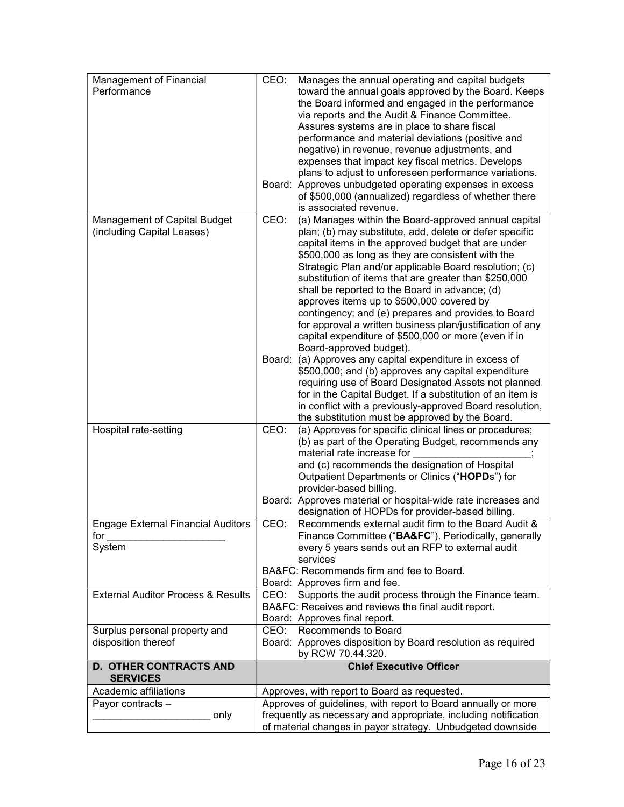| Management of Financial<br>Performance                     | Manages the annual operating and capital budgets<br>CEO:<br>toward the annual goals approved by the Board. Keeps<br>the Board informed and engaged in the performance<br>via reports and the Audit & Finance Committee.<br>Assures systems are in place to share fiscal<br>performance and material deviations (positive and<br>negative) in revenue, revenue adjustments, and<br>expenses that impact key fiscal metrics. Develops<br>plans to adjust to unforeseen performance variations.<br>Board: Approves unbudgeted operating expenses in excess<br>of \$500,000 (annualized) regardless of whether there<br>is associated revenue.                                                                                                                                                                                                                                                                                                                                                                           |
|------------------------------------------------------------|----------------------------------------------------------------------------------------------------------------------------------------------------------------------------------------------------------------------------------------------------------------------------------------------------------------------------------------------------------------------------------------------------------------------------------------------------------------------------------------------------------------------------------------------------------------------------------------------------------------------------------------------------------------------------------------------------------------------------------------------------------------------------------------------------------------------------------------------------------------------------------------------------------------------------------------------------------------------------------------------------------------------|
| Management of Capital Budget<br>(including Capital Leases) | CEO:<br>(a) Manages within the Board-approved annual capital<br>plan; (b) may substitute, add, delete or defer specific<br>capital items in the approved budget that are under<br>\$500,000 as long as they are consistent with the<br>Strategic Plan and/or applicable Board resolution; (c)<br>substitution of items that are greater than \$250,000<br>shall be reported to the Board in advance; (d)<br>approves items up to \$500,000 covered by<br>contingency; and (e) prepares and provides to Board<br>for approval a written business plan/justification of any<br>capital expenditure of \$500,000 or more (even if in<br>Board-approved budget).<br>Board: (a) Approves any capital expenditure in excess of<br>\$500,000; and (b) approves any capital expenditure<br>requiring use of Board Designated Assets not planned<br>for in the Capital Budget. If a substitution of an item is<br>in conflict with a previously-approved Board resolution,<br>the substitution must be approved by the Board. |
| Hospital rate-setting                                      | (a) Approves for specific clinical lines or procedures;<br>CEO:<br>(b) as part of the Operating Budget, recommends any<br>material rate increase for<br>and (c) recommends the designation of Hospital<br>Outpatient Departments or Clinics ("HOPDs") for<br>provider-based billing.<br>Board: Approves material or hospital-wide rate increases and<br>designation of HOPDs for provider-based billing.                                                                                                                                                                                                                                                                                                                                                                                                                                                                                                                                                                                                             |
| <b>Engage External Financial Auditors</b><br>for<br>System | Recommends external audit firm to the Board Audit &<br>CEO:<br>Finance Committee ("BA&FC"). Periodically, generally<br>every 5 years sends out an RFP to external audit<br>services<br>BA&FC: Recommends firm and fee to Board.<br>Board: Approves firm and fee.                                                                                                                                                                                                                                                                                                                                                                                                                                                                                                                                                                                                                                                                                                                                                     |
| <b>External Auditor Process &amp; Results</b>              | Supports the audit process through the Finance team.<br>CEO:<br>BA&FC: Receives and reviews the final audit report.<br>Board: Approves final report.                                                                                                                                                                                                                                                                                                                                                                                                                                                                                                                                                                                                                                                                                                                                                                                                                                                                 |
| Surplus personal property and<br>disposition thereof       | CEO: Recommends to Board<br>Board: Approves disposition by Board resolution as required<br>by RCW 70.44.320.                                                                                                                                                                                                                                                                                                                                                                                                                                                                                                                                                                                                                                                                                                                                                                                                                                                                                                         |
| <b>D. OTHER CONTRACTS AND</b><br><b>SERVICES</b>           | <b>Chief Executive Officer</b>                                                                                                                                                                                                                                                                                                                                                                                                                                                                                                                                                                                                                                                                                                                                                                                                                                                                                                                                                                                       |
| Academic affiliations                                      | Approves, with report to Board as requested.                                                                                                                                                                                                                                                                                                                                                                                                                                                                                                                                                                                                                                                                                                                                                                                                                                                                                                                                                                         |
| Payor contracts -<br>only                                  | Approves of guidelines, with report to Board annually or more<br>frequently as necessary and appropriate, including notification<br>of material changes in payor strategy. Unbudgeted downside                                                                                                                                                                                                                                                                                                                                                                                                                                                                                                                                                                                                                                                                                                                                                                                                                       |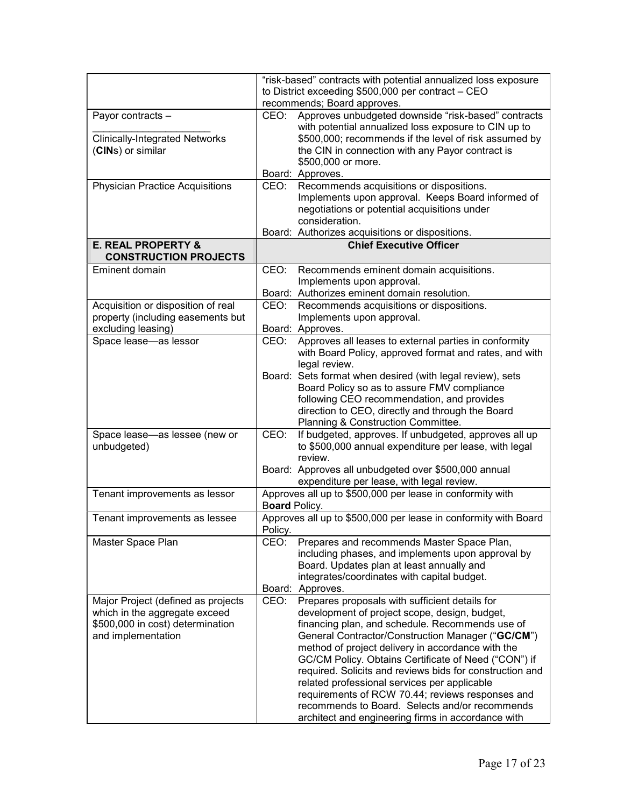| to District exceeding \$500,000 per contract - CEO<br>recommends; Board approves.<br>Approves unbudgeted downside "risk-based" contracts<br>CEO:<br>Payor contracts -<br>with potential annualized loss exposure to CIN up to<br><b>Clinically-Integrated Networks</b><br>\$500,000; recommends if the level of risk assumed by<br>(CINs) or similar<br>the CIN in connection with any Payor contract is<br>\$500,000 or more.<br>Board: Approves.<br><b>Physician Practice Acquisitions</b><br>CEO:<br>Recommends acquisitions or dispositions.<br>Implements upon approval. Keeps Board informed of<br>negotiations or potential acquisitions under<br>consideration.<br>Board: Authorizes acquisitions or dispositions.<br><b>E. REAL PROPERTY &amp;</b><br><b>Chief Executive Officer</b><br><b>CONSTRUCTION PROJECTS</b><br>Eminent domain<br>CEO:<br>Recommends eminent domain acquisitions.<br>Implements upon approval.<br>Board: Authorizes eminent domain resolution.<br>Acquisition or disposition of real<br>Recommends acquisitions or dispositions.<br>CEO:<br>property (including easements but<br>Implements upon approval.<br>excluding leasing)<br>Board: Approves.<br>Approves all leases to external parties in conformity<br>Space lease-as lessor<br>CEO:<br>with Board Policy, approved format and rates, and with<br>legal review.<br>Board: Sets format when desired (with legal review), sets<br>Board Policy so as to assure FMV compliance<br>following CEO recommendation, and provides<br>direction to CEO, directly and through the Board<br>Planning & Construction Committee.<br>If budgeted, approves. If unbudgeted, approves all up<br>Space lease-as lessee (new or<br>CEO:<br>to \$500,000 annual expenditure per lease, with legal<br>unbudgeted)<br>review.<br>Board: Approves all unbudgeted over \$500,000 annual<br>expenditure per lease, with legal review.<br>Approves all up to \$500,000 per lease in conformity with<br>Tenant improvements as lessor<br>Board Policy.<br>Approves all up to \$500,000 per lease in conformity with Board<br>Tenant improvements as lessee<br>Policy.<br>Master Space Plan<br>Prepares and recommends Master Space Plan,<br>CEO:<br>including phases, and implements upon approval by<br>Board. Updates plan at least annually and<br>integrates/coordinates with capital budget.<br>Board: Approves.<br>CEO:<br>Prepares proposals with sufficient details for<br>Major Project (defined as projects<br>which in the aggregate exceed<br>development of project scope, design, budget,<br>\$500,000 in cost) determination<br>financing plan, and schedule. Recommends use of<br>and implementation<br>General Contractor/Construction Manager ("GC/CM")<br>method of project delivery in accordance with the<br>GC/CM Policy. Obtains Certificate of Need ("CON") if<br>required. Solicits and reviews bids for construction and<br>related professional services per applicable<br>requirements of RCW 70.44; reviews responses and<br>recommends to Board. Selects and/or recommends |  | "risk-based" contracts with potential annualized loss exposure |
|---------------------------------------------------------------------------------------------------------------------------------------------------------------------------------------------------------------------------------------------------------------------------------------------------------------------------------------------------------------------------------------------------------------------------------------------------------------------------------------------------------------------------------------------------------------------------------------------------------------------------------------------------------------------------------------------------------------------------------------------------------------------------------------------------------------------------------------------------------------------------------------------------------------------------------------------------------------------------------------------------------------------------------------------------------------------------------------------------------------------------------------------------------------------------------------------------------------------------------------------------------------------------------------------------------------------------------------------------------------------------------------------------------------------------------------------------------------------------------------------------------------------------------------------------------------------------------------------------------------------------------------------------------------------------------------------------------------------------------------------------------------------------------------------------------------------------------------------------------------------------------------------------------------------------------------------------------------------------------------------------------------------------------------------------------------------------------------------------------------------------------------------------------------------------------------------------------------------------------------------------------------------------------------------------------------------------------------------------------------------------------------------------------------------------------------------------------------------------------------------------------------------------------------------------------------------------------------------------------------------------------------------------------------------------------------------------------------------------------------------------------------------------------------------------------------------------------------------------------------------------------------------------------------------------------------------------------------------------------------------------------------------------------------------------------------------------|--|----------------------------------------------------------------|
|                                                                                                                                                                                                                                                                                                                                                                                                                                                                                                                                                                                                                                                                                                                                                                                                                                                                                                                                                                                                                                                                                                                                                                                                                                                                                                                                                                                                                                                                                                                                                                                                                                                                                                                                                                                                                                                                                                                                                                                                                                                                                                                                                                                                                                                                                                                                                                                                                                                                                                                                                                                                                                                                                                                                                                                                                                                                                                                                                                                                                                                                           |  |                                                                |
|                                                                                                                                                                                                                                                                                                                                                                                                                                                                                                                                                                                                                                                                                                                                                                                                                                                                                                                                                                                                                                                                                                                                                                                                                                                                                                                                                                                                                                                                                                                                                                                                                                                                                                                                                                                                                                                                                                                                                                                                                                                                                                                                                                                                                                                                                                                                                                                                                                                                                                                                                                                                                                                                                                                                                                                                                                                                                                                                                                                                                                                                           |  |                                                                |
|                                                                                                                                                                                                                                                                                                                                                                                                                                                                                                                                                                                                                                                                                                                                                                                                                                                                                                                                                                                                                                                                                                                                                                                                                                                                                                                                                                                                                                                                                                                                                                                                                                                                                                                                                                                                                                                                                                                                                                                                                                                                                                                                                                                                                                                                                                                                                                                                                                                                                                                                                                                                                                                                                                                                                                                                                                                                                                                                                                                                                                                                           |  |                                                                |
|                                                                                                                                                                                                                                                                                                                                                                                                                                                                                                                                                                                                                                                                                                                                                                                                                                                                                                                                                                                                                                                                                                                                                                                                                                                                                                                                                                                                                                                                                                                                                                                                                                                                                                                                                                                                                                                                                                                                                                                                                                                                                                                                                                                                                                                                                                                                                                                                                                                                                                                                                                                                                                                                                                                                                                                                                                                                                                                                                                                                                                                                           |  |                                                                |
|                                                                                                                                                                                                                                                                                                                                                                                                                                                                                                                                                                                                                                                                                                                                                                                                                                                                                                                                                                                                                                                                                                                                                                                                                                                                                                                                                                                                                                                                                                                                                                                                                                                                                                                                                                                                                                                                                                                                                                                                                                                                                                                                                                                                                                                                                                                                                                                                                                                                                                                                                                                                                                                                                                                                                                                                                                                                                                                                                                                                                                                                           |  |                                                                |
|                                                                                                                                                                                                                                                                                                                                                                                                                                                                                                                                                                                                                                                                                                                                                                                                                                                                                                                                                                                                                                                                                                                                                                                                                                                                                                                                                                                                                                                                                                                                                                                                                                                                                                                                                                                                                                                                                                                                                                                                                                                                                                                                                                                                                                                                                                                                                                                                                                                                                                                                                                                                                                                                                                                                                                                                                                                                                                                                                                                                                                                                           |  |                                                                |
|                                                                                                                                                                                                                                                                                                                                                                                                                                                                                                                                                                                                                                                                                                                                                                                                                                                                                                                                                                                                                                                                                                                                                                                                                                                                                                                                                                                                                                                                                                                                                                                                                                                                                                                                                                                                                                                                                                                                                                                                                                                                                                                                                                                                                                                                                                                                                                                                                                                                                                                                                                                                                                                                                                                                                                                                                                                                                                                                                                                                                                                                           |  |                                                                |
|                                                                                                                                                                                                                                                                                                                                                                                                                                                                                                                                                                                                                                                                                                                                                                                                                                                                                                                                                                                                                                                                                                                                                                                                                                                                                                                                                                                                                                                                                                                                                                                                                                                                                                                                                                                                                                                                                                                                                                                                                                                                                                                                                                                                                                                                                                                                                                                                                                                                                                                                                                                                                                                                                                                                                                                                                                                                                                                                                                                                                                                                           |  |                                                                |
|                                                                                                                                                                                                                                                                                                                                                                                                                                                                                                                                                                                                                                                                                                                                                                                                                                                                                                                                                                                                                                                                                                                                                                                                                                                                                                                                                                                                                                                                                                                                                                                                                                                                                                                                                                                                                                                                                                                                                                                                                                                                                                                                                                                                                                                                                                                                                                                                                                                                                                                                                                                                                                                                                                                                                                                                                                                                                                                                                                                                                                                                           |  |                                                                |
|                                                                                                                                                                                                                                                                                                                                                                                                                                                                                                                                                                                                                                                                                                                                                                                                                                                                                                                                                                                                                                                                                                                                                                                                                                                                                                                                                                                                                                                                                                                                                                                                                                                                                                                                                                                                                                                                                                                                                                                                                                                                                                                                                                                                                                                                                                                                                                                                                                                                                                                                                                                                                                                                                                                                                                                                                                                                                                                                                                                                                                                                           |  |                                                                |
|                                                                                                                                                                                                                                                                                                                                                                                                                                                                                                                                                                                                                                                                                                                                                                                                                                                                                                                                                                                                                                                                                                                                                                                                                                                                                                                                                                                                                                                                                                                                                                                                                                                                                                                                                                                                                                                                                                                                                                                                                                                                                                                                                                                                                                                                                                                                                                                                                                                                                                                                                                                                                                                                                                                                                                                                                                                                                                                                                                                                                                                                           |  |                                                                |
|                                                                                                                                                                                                                                                                                                                                                                                                                                                                                                                                                                                                                                                                                                                                                                                                                                                                                                                                                                                                                                                                                                                                                                                                                                                                                                                                                                                                                                                                                                                                                                                                                                                                                                                                                                                                                                                                                                                                                                                                                                                                                                                                                                                                                                                                                                                                                                                                                                                                                                                                                                                                                                                                                                                                                                                                                                                                                                                                                                                                                                                                           |  |                                                                |
|                                                                                                                                                                                                                                                                                                                                                                                                                                                                                                                                                                                                                                                                                                                                                                                                                                                                                                                                                                                                                                                                                                                                                                                                                                                                                                                                                                                                                                                                                                                                                                                                                                                                                                                                                                                                                                                                                                                                                                                                                                                                                                                                                                                                                                                                                                                                                                                                                                                                                                                                                                                                                                                                                                                                                                                                                                                                                                                                                                                                                                                                           |  |                                                                |
|                                                                                                                                                                                                                                                                                                                                                                                                                                                                                                                                                                                                                                                                                                                                                                                                                                                                                                                                                                                                                                                                                                                                                                                                                                                                                                                                                                                                                                                                                                                                                                                                                                                                                                                                                                                                                                                                                                                                                                                                                                                                                                                                                                                                                                                                                                                                                                                                                                                                                                                                                                                                                                                                                                                                                                                                                                                                                                                                                                                                                                                                           |  |                                                                |
|                                                                                                                                                                                                                                                                                                                                                                                                                                                                                                                                                                                                                                                                                                                                                                                                                                                                                                                                                                                                                                                                                                                                                                                                                                                                                                                                                                                                                                                                                                                                                                                                                                                                                                                                                                                                                                                                                                                                                                                                                                                                                                                                                                                                                                                                                                                                                                                                                                                                                                                                                                                                                                                                                                                                                                                                                                                                                                                                                                                                                                                                           |  |                                                                |
|                                                                                                                                                                                                                                                                                                                                                                                                                                                                                                                                                                                                                                                                                                                                                                                                                                                                                                                                                                                                                                                                                                                                                                                                                                                                                                                                                                                                                                                                                                                                                                                                                                                                                                                                                                                                                                                                                                                                                                                                                                                                                                                                                                                                                                                                                                                                                                                                                                                                                                                                                                                                                                                                                                                                                                                                                                                                                                                                                                                                                                                                           |  |                                                                |
|                                                                                                                                                                                                                                                                                                                                                                                                                                                                                                                                                                                                                                                                                                                                                                                                                                                                                                                                                                                                                                                                                                                                                                                                                                                                                                                                                                                                                                                                                                                                                                                                                                                                                                                                                                                                                                                                                                                                                                                                                                                                                                                                                                                                                                                                                                                                                                                                                                                                                                                                                                                                                                                                                                                                                                                                                                                                                                                                                                                                                                                                           |  |                                                                |
|                                                                                                                                                                                                                                                                                                                                                                                                                                                                                                                                                                                                                                                                                                                                                                                                                                                                                                                                                                                                                                                                                                                                                                                                                                                                                                                                                                                                                                                                                                                                                                                                                                                                                                                                                                                                                                                                                                                                                                                                                                                                                                                                                                                                                                                                                                                                                                                                                                                                                                                                                                                                                                                                                                                                                                                                                                                                                                                                                                                                                                                                           |  |                                                                |
|                                                                                                                                                                                                                                                                                                                                                                                                                                                                                                                                                                                                                                                                                                                                                                                                                                                                                                                                                                                                                                                                                                                                                                                                                                                                                                                                                                                                                                                                                                                                                                                                                                                                                                                                                                                                                                                                                                                                                                                                                                                                                                                                                                                                                                                                                                                                                                                                                                                                                                                                                                                                                                                                                                                                                                                                                                                                                                                                                                                                                                                                           |  |                                                                |
|                                                                                                                                                                                                                                                                                                                                                                                                                                                                                                                                                                                                                                                                                                                                                                                                                                                                                                                                                                                                                                                                                                                                                                                                                                                                                                                                                                                                                                                                                                                                                                                                                                                                                                                                                                                                                                                                                                                                                                                                                                                                                                                                                                                                                                                                                                                                                                                                                                                                                                                                                                                                                                                                                                                                                                                                                                                                                                                                                                                                                                                                           |  |                                                                |
|                                                                                                                                                                                                                                                                                                                                                                                                                                                                                                                                                                                                                                                                                                                                                                                                                                                                                                                                                                                                                                                                                                                                                                                                                                                                                                                                                                                                                                                                                                                                                                                                                                                                                                                                                                                                                                                                                                                                                                                                                                                                                                                                                                                                                                                                                                                                                                                                                                                                                                                                                                                                                                                                                                                                                                                                                                                                                                                                                                                                                                                                           |  |                                                                |
|                                                                                                                                                                                                                                                                                                                                                                                                                                                                                                                                                                                                                                                                                                                                                                                                                                                                                                                                                                                                                                                                                                                                                                                                                                                                                                                                                                                                                                                                                                                                                                                                                                                                                                                                                                                                                                                                                                                                                                                                                                                                                                                                                                                                                                                                                                                                                                                                                                                                                                                                                                                                                                                                                                                                                                                                                                                                                                                                                                                                                                                                           |  |                                                                |
|                                                                                                                                                                                                                                                                                                                                                                                                                                                                                                                                                                                                                                                                                                                                                                                                                                                                                                                                                                                                                                                                                                                                                                                                                                                                                                                                                                                                                                                                                                                                                                                                                                                                                                                                                                                                                                                                                                                                                                                                                                                                                                                                                                                                                                                                                                                                                                                                                                                                                                                                                                                                                                                                                                                                                                                                                                                                                                                                                                                                                                                                           |  |                                                                |
|                                                                                                                                                                                                                                                                                                                                                                                                                                                                                                                                                                                                                                                                                                                                                                                                                                                                                                                                                                                                                                                                                                                                                                                                                                                                                                                                                                                                                                                                                                                                                                                                                                                                                                                                                                                                                                                                                                                                                                                                                                                                                                                                                                                                                                                                                                                                                                                                                                                                                                                                                                                                                                                                                                                                                                                                                                                                                                                                                                                                                                                                           |  |                                                                |
|                                                                                                                                                                                                                                                                                                                                                                                                                                                                                                                                                                                                                                                                                                                                                                                                                                                                                                                                                                                                                                                                                                                                                                                                                                                                                                                                                                                                                                                                                                                                                                                                                                                                                                                                                                                                                                                                                                                                                                                                                                                                                                                                                                                                                                                                                                                                                                                                                                                                                                                                                                                                                                                                                                                                                                                                                                                                                                                                                                                                                                                                           |  |                                                                |
|                                                                                                                                                                                                                                                                                                                                                                                                                                                                                                                                                                                                                                                                                                                                                                                                                                                                                                                                                                                                                                                                                                                                                                                                                                                                                                                                                                                                                                                                                                                                                                                                                                                                                                                                                                                                                                                                                                                                                                                                                                                                                                                                                                                                                                                                                                                                                                                                                                                                                                                                                                                                                                                                                                                                                                                                                                                                                                                                                                                                                                                                           |  |                                                                |
|                                                                                                                                                                                                                                                                                                                                                                                                                                                                                                                                                                                                                                                                                                                                                                                                                                                                                                                                                                                                                                                                                                                                                                                                                                                                                                                                                                                                                                                                                                                                                                                                                                                                                                                                                                                                                                                                                                                                                                                                                                                                                                                                                                                                                                                                                                                                                                                                                                                                                                                                                                                                                                                                                                                                                                                                                                                                                                                                                                                                                                                                           |  |                                                                |
|                                                                                                                                                                                                                                                                                                                                                                                                                                                                                                                                                                                                                                                                                                                                                                                                                                                                                                                                                                                                                                                                                                                                                                                                                                                                                                                                                                                                                                                                                                                                                                                                                                                                                                                                                                                                                                                                                                                                                                                                                                                                                                                                                                                                                                                                                                                                                                                                                                                                                                                                                                                                                                                                                                                                                                                                                                                                                                                                                                                                                                                                           |  |                                                                |
|                                                                                                                                                                                                                                                                                                                                                                                                                                                                                                                                                                                                                                                                                                                                                                                                                                                                                                                                                                                                                                                                                                                                                                                                                                                                                                                                                                                                                                                                                                                                                                                                                                                                                                                                                                                                                                                                                                                                                                                                                                                                                                                                                                                                                                                                                                                                                                                                                                                                                                                                                                                                                                                                                                                                                                                                                                                                                                                                                                                                                                                                           |  |                                                                |
|                                                                                                                                                                                                                                                                                                                                                                                                                                                                                                                                                                                                                                                                                                                                                                                                                                                                                                                                                                                                                                                                                                                                                                                                                                                                                                                                                                                                                                                                                                                                                                                                                                                                                                                                                                                                                                                                                                                                                                                                                                                                                                                                                                                                                                                                                                                                                                                                                                                                                                                                                                                                                                                                                                                                                                                                                                                                                                                                                                                                                                                                           |  |                                                                |
|                                                                                                                                                                                                                                                                                                                                                                                                                                                                                                                                                                                                                                                                                                                                                                                                                                                                                                                                                                                                                                                                                                                                                                                                                                                                                                                                                                                                                                                                                                                                                                                                                                                                                                                                                                                                                                                                                                                                                                                                                                                                                                                                                                                                                                                                                                                                                                                                                                                                                                                                                                                                                                                                                                                                                                                                                                                                                                                                                                                                                                                                           |  |                                                                |
|                                                                                                                                                                                                                                                                                                                                                                                                                                                                                                                                                                                                                                                                                                                                                                                                                                                                                                                                                                                                                                                                                                                                                                                                                                                                                                                                                                                                                                                                                                                                                                                                                                                                                                                                                                                                                                                                                                                                                                                                                                                                                                                                                                                                                                                                                                                                                                                                                                                                                                                                                                                                                                                                                                                                                                                                                                                                                                                                                                                                                                                                           |  |                                                                |
|                                                                                                                                                                                                                                                                                                                                                                                                                                                                                                                                                                                                                                                                                                                                                                                                                                                                                                                                                                                                                                                                                                                                                                                                                                                                                                                                                                                                                                                                                                                                                                                                                                                                                                                                                                                                                                                                                                                                                                                                                                                                                                                                                                                                                                                                                                                                                                                                                                                                                                                                                                                                                                                                                                                                                                                                                                                                                                                                                                                                                                                                           |  |                                                                |
|                                                                                                                                                                                                                                                                                                                                                                                                                                                                                                                                                                                                                                                                                                                                                                                                                                                                                                                                                                                                                                                                                                                                                                                                                                                                                                                                                                                                                                                                                                                                                                                                                                                                                                                                                                                                                                                                                                                                                                                                                                                                                                                                                                                                                                                                                                                                                                                                                                                                                                                                                                                                                                                                                                                                                                                                                                                                                                                                                                                                                                                                           |  |                                                                |
|                                                                                                                                                                                                                                                                                                                                                                                                                                                                                                                                                                                                                                                                                                                                                                                                                                                                                                                                                                                                                                                                                                                                                                                                                                                                                                                                                                                                                                                                                                                                                                                                                                                                                                                                                                                                                                                                                                                                                                                                                                                                                                                                                                                                                                                                                                                                                                                                                                                                                                                                                                                                                                                                                                                                                                                                                                                                                                                                                                                                                                                                           |  |                                                                |
|                                                                                                                                                                                                                                                                                                                                                                                                                                                                                                                                                                                                                                                                                                                                                                                                                                                                                                                                                                                                                                                                                                                                                                                                                                                                                                                                                                                                                                                                                                                                                                                                                                                                                                                                                                                                                                                                                                                                                                                                                                                                                                                                                                                                                                                                                                                                                                                                                                                                                                                                                                                                                                                                                                                                                                                                                                                                                                                                                                                                                                                                           |  |                                                                |
|                                                                                                                                                                                                                                                                                                                                                                                                                                                                                                                                                                                                                                                                                                                                                                                                                                                                                                                                                                                                                                                                                                                                                                                                                                                                                                                                                                                                                                                                                                                                                                                                                                                                                                                                                                                                                                                                                                                                                                                                                                                                                                                                                                                                                                                                                                                                                                                                                                                                                                                                                                                                                                                                                                                                                                                                                                                                                                                                                                                                                                                                           |  |                                                                |
|                                                                                                                                                                                                                                                                                                                                                                                                                                                                                                                                                                                                                                                                                                                                                                                                                                                                                                                                                                                                                                                                                                                                                                                                                                                                                                                                                                                                                                                                                                                                                                                                                                                                                                                                                                                                                                                                                                                                                                                                                                                                                                                                                                                                                                                                                                                                                                                                                                                                                                                                                                                                                                                                                                                                                                                                                                                                                                                                                                                                                                                                           |  |                                                                |
|                                                                                                                                                                                                                                                                                                                                                                                                                                                                                                                                                                                                                                                                                                                                                                                                                                                                                                                                                                                                                                                                                                                                                                                                                                                                                                                                                                                                                                                                                                                                                                                                                                                                                                                                                                                                                                                                                                                                                                                                                                                                                                                                                                                                                                                                                                                                                                                                                                                                                                                                                                                                                                                                                                                                                                                                                                                                                                                                                                                                                                                                           |  |                                                                |
|                                                                                                                                                                                                                                                                                                                                                                                                                                                                                                                                                                                                                                                                                                                                                                                                                                                                                                                                                                                                                                                                                                                                                                                                                                                                                                                                                                                                                                                                                                                                                                                                                                                                                                                                                                                                                                                                                                                                                                                                                                                                                                                                                                                                                                                                                                                                                                                                                                                                                                                                                                                                                                                                                                                                                                                                                                                                                                                                                                                                                                                                           |  |                                                                |
|                                                                                                                                                                                                                                                                                                                                                                                                                                                                                                                                                                                                                                                                                                                                                                                                                                                                                                                                                                                                                                                                                                                                                                                                                                                                                                                                                                                                                                                                                                                                                                                                                                                                                                                                                                                                                                                                                                                                                                                                                                                                                                                                                                                                                                                                                                                                                                                                                                                                                                                                                                                                                                                                                                                                                                                                                                                                                                                                                                                                                                                                           |  |                                                                |
|                                                                                                                                                                                                                                                                                                                                                                                                                                                                                                                                                                                                                                                                                                                                                                                                                                                                                                                                                                                                                                                                                                                                                                                                                                                                                                                                                                                                                                                                                                                                                                                                                                                                                                                                                                                                                                                                                                                                                                                                                                                                                                                                                                                                                                                                                                                                                                                                                                                                                                                                                                                                                                                                                                                                                                                                                                                                                                                                                                                                                                                                           |  |                                                                |
|                                                                                                                                                                                                                                                                                                                                                                                                                                                                                                                                                                                                                                                                                                                                                                                                                                                                                                                                                                                                                                                                                                                                                                                                                                                                                                                                                                                                                                                                                                                                                                                                                                                                                                                                                                                                                                                                                                                                                                                                                                                                                                                                                                                                                                                                                                                                                                                                                                                                                                                                                                                                                                                                                                                                                                                                                                                                                                                                                                                                                                                                           |  |                                                                |
|                                                                                                                                                                                                                                                                                                                                                                                                                                                                                                                                                                                                                                                                                                                                                                                                                                                                                                                                                                                                                                                                                                                                                                                                                                                                                                                                                                                                                                                                                                                                                                                                                                                                                                                                                                                                                                                                                                                                                                                                                                                                                                                                                                                                                                                                                                                                                                                                                                                                                                                                                                                                                                                                                                                                                                                                                                                                                                                                                                                                                                                                           |  |                                                                |
|                                                                                                                                                                                                                                                                                                                                                                                                                                                                                                                                                                                                                                                                                                                                                                                                                                                                                                                                                                                                                                                                                                                                                                                                                                                                                                                                                                                                                                                                                                                                                                                                                                                                                                                                                                                                                                                                                                                                                                                                                                                                                                                                                                                                                                                                                                                                                                                                                                                                                                                                                                                                                                                                                                                                                                                                                                                                                                                                                                                                                                                                           |  |                                                                |
|                                                                                                                                                                                                                                                                                                                                                                                                                                                                                                                                                                                                                                                                                                                                                                                                                                                                                                                                                                                                                                                                                                                                                                                                                                                                                                                                                                                                                                                                                                                                                                                                                                                                                                                                                                                                                                                                                                                                                                                                                                                                                                                                                                                                                                                                                                                                                                                                                                                                                                                                                                                                                                                                                                                                                                                                                                                                                                                                                                                                                                                                           |  |                                                                |
|                                                                                                                                                                                                                                                                                                                                                                                                                                                                                                                                                                                                                                                                                                                                                                                                                                                                                                                                                                                                                                                                                                                                                                                                                                                                                                                                                                                                                                                                                                                                                                                                                                                                                                                                                                                                                                                                                                                                                                                                                                                                                                                                                                                                                                                                                                                                                                                                                                                                                                                                                                                                                                                                                                                                                                                                                                                                                                                                                                                                                                                                           |  | architect and engineering firms in accordance with             |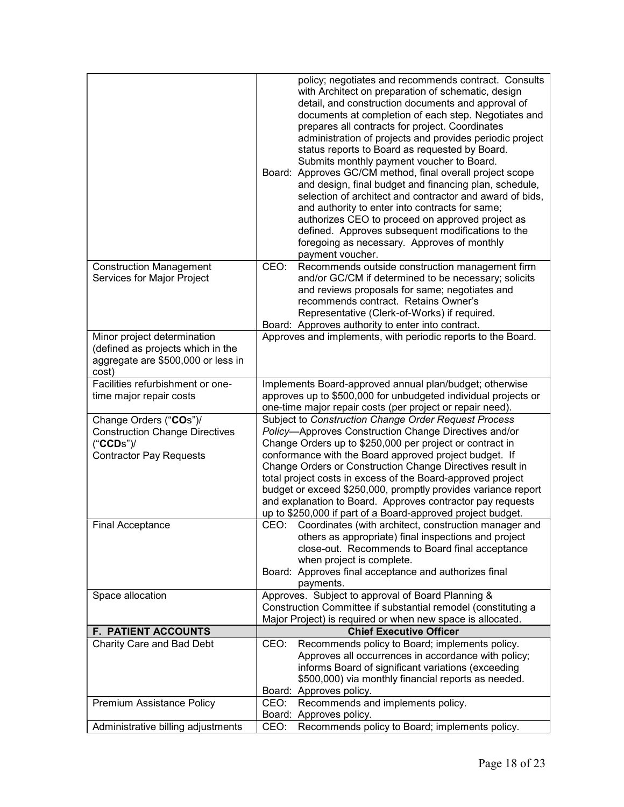| <b>Construction Management</b><br>Recommends outside construction management firm<br>CEO:<br>Services for Major Project<br>and/or GC/CM if determined to be necessary; solicits<br>and reviews proposals for same; negotiates and<br>recommends contract. Retains Owner's<br>Representative (Clerk-of-Works) if required.<br>Board: Approves authority to enter into contract.<br>Approves and implements, with periodic reports to the Board.<br>Minor project determination<br>(defined as projects which in the<br>aggregate are \$500,000 or less in<br>cost)<br>Facilities refurbishment or one-<br>Implements Board-approved annual plan/budget; otherwise<br>approves up to \$500,000 for unbudgeted individual projects or<br>time major repair costs<br>one-time major repair costs (per project or repair need).<br>Subject to Construction Change Order Request Process<br>Change Orders ("COs")/<br>Policy-Approves Construction Change Directives and/or<br><b>Construction Change Directives</b><br>Change Orders up to \$250,000 per project or contract in<br>("CCDs")/<br>Contractor Pay Requests<br>conformance with the Board approved project budget. If<br>Change Orders or Construction Change Directives result in<br>total project costs in excess of the Board-approved project<br>budget or exceed \$250,000, promptly provides variance report<br>and explanation to Board. Approves contractor pay requests<br>up to \$250,000 if part of a Board-approved project budget.<br><b>Final Acceptance</b><br>CEO: Coordinates (with architect, construction manager and<br>others as appropriate) final inspections and project<br>close-out. Recommends to Board final acceptance<br>when project is complete.<br>Board: Approves final acceptance and authorizes final<br>payments.<br>Approves. Subject to approval of Board Planning &<br>Space allocation<br>Construction Committee if substantial remodel (constituting a<br>Major Project) is required or when new space is allocated.<br><b>F. PATIENT ACCOUNTS</b><br><b>Chief Executive Officer</b><br>Charity Care and Bad Debt<br>Recommends policy to Board; implements policy.<br>CEO:<br>Approves all occurrences in accordance with policy;<br>informs Board of significant variations (exceeding<br>\$500,000) via monthly financial reports as needed.<br>Board: Approves policy.<br>Recommends and implements policy.<br>Premium Assistance Policy<br>CEO:<br>Board: Approves policy.<br>Recommends policy to Board; implements policy.<br>Administrative billing adjustments<br>CEO: | policy; negotiates and recommends contract. Consults<br>with Architect on preparation of schematic, design<br>detail, and construction documents and approval of<br>documents at completion of each step. Negotiates and<br>prepares all contracts for project. Coordinates<br>administration of projects and provides periodic project<br>status reports to Board as requested by Board.<br>Submits monthly payment voucher to Board.<br>Board: Approves GC/CM method, final overall project scope<br>and design, final budget and financing plan, schedule,<br>selection of architect and contractor and award of bids,<br>and authority to enter into contracts for same;<br>authorizes CEO to proceed on approved project as<br>defined. Approves subsequent modifications to the<br>foregoing as necessary. Approves of monthly<br>payment voucher. |
|----------------------------------------------------------------------------------------------------------------------------------------------------------------------------------------------------------------------------------------------------------------------------------------------------------------------------------------------------------------------------------------------------------------------------------------------------------------------------------------------------------------------------------------------------------------------------------------------------------------------------------------------------------------------------------------------------------------------------------------------------------------------------------------------------------------------------------------------------------------------------------------------------------------------------------------------------------------------------------------------------------------------------------------------------------------------------------------------------------------------------------------------------------------------------------------------------------------------------------------------------------------------------------------------------------------------------------------------------------------------------------------------------------------------------------------------------------------------------------------------------------------------------------------------------------------------------------------------------------------------------------------------------------------------------------------------------------------------------------------------------------------------------------------------------------------------------------------------------------------------------------------------------------------------------------------------------------------------------------------------------------------------------------------------------------------------------------------------------------------------------------------------------------------------------------------------------------------------------------------------------------------------------------------------------------------------------------------------------------------------------------------------------------------------------------------------------------------------------------------------------------------------------------------------------------------------------------|----------------------------------------------------------------------------------------------------------------------------------------------------------------------------------------------------------------------------------------------------------------------------------------------------------------------------------------------------------------------------------------------------------------------------------------------------------------------------------------------------------------------------------------------------------------------------------------------------------------------------------------------------------------------------------------------------------------------------------------------------------------------------------------------------------------------------------------------------------|
|                                                                                                                                                                                                                                                                                                                                                                                                                                                                                                                                                                                                                                                                                                                                                                                                                                                                                                                                                                                                                                                                                                                                                                                                                                                                                                                                                                                                                                                                                                                                                                                                                                                                                                                                                                                                                                                                                                                                                                                                                                                                                                                                                                                                                                                                                                                                                                                                                                                                                                                                                                                  |                                                                                                                                                                                                                                                                                                                                                                                                                                                                                                                                                                                                                                                                                                                                                                                                                                                          |
|                                                                                                                                                                                                                                                                                                                                                                                                                                                                                                                                                                                                                                                                                                                                                                                                                                                                                                                                                                                                                                                                                                                                                                                                                                                                                                                                                                                                                                                                                                                                                                                                                                                                                                                                                                                                                                                                                                                                                                                                                                                                                                                                                                                                                                                                                                                                                                                                                                                                                                                                                                                  |                                                                                                                                                                                                                                                                                                                                                                                                                                                                                                                                                                                                                                                                                                                                                                                                                                                          |
|                                                                                                                                                                                                                                                                                                                                                                                                                                                                                                                                                                                                                                                                                                                                                                                                                                                                                                                                                                                                                                                                                                                                                                                                                                                                                                                                                                                                                                                                                                                                                                                                                                                                                                                                                                                                                                                                                                                                                                                                                                                                                                                                                                                                                                                                                                                                                                                                                                                                                                                                                                                  |                                                                                                                                                                                                                                                                                                                                                                                                                                                                                                                                                                                                                                                                                                                                                                                                                                                          |
|                                                                                                                                                                                                                                                                                                                                                                                                                                                                                                                                                                                                                                                                                                                                                                                                                                                                                                                                                                                                                                                                                                                                                                                                                                                                                                                                                                                                                                                                                                                                                                                                                                                                                                                                                                                                                                                                                                                                                                                                                                                                                                                                                                                                                                                                                                                                                                                                                                                                                                                                                                                  |                                                                                                                                                                                                                                                                                                                                                                                                                                                                                                                                                                                                                                                                                                                                                                                                                                                          |
|                                                                                                                                                                                                                                                                                                                                                                                                                                                                                                                                                                                                                                                                                                                                                                                                                                                                                                                                                                                                                                                                                                                                                                                                                                                                                                                                                                                                                                                                                                                                                                                                                                                                                                                                                                                                                                                                                                                                                                                                                                                                                                                                                                                                                                                                                                                                                                                                                                                                                                                                                                                  |                                                                                                                                                                                                                                                                                                                                                                                                                                                                                                                                                                                                                                                                                                                                                                                                                                                          |
|                                                                                                                                                                                                                                                                                                                                                                                                                                                                                                                                                                                                                                                                                                                                                                                                                                                                                                                                                                                                                                                                                                                                                                                                                                                                                                                                                                                                                                                                                                                                                                                                                                                                                                                                                                                                                                                                                                                                                                                                                                                                                                                                                                                                                                                                                                                                                                                                                                                                                                                                                                                  |                                                                                                                                                                                                                                                                                                                                                                                                                                                                                                                                                                                                                                                                                                                                                                                                                                                          |
|                                                                                                                                                                                                                                                                                                                                                                                                                                                                                                                                                                                                                                                                                                                                                                                                                                                                                                                                                                                                                                                                                                                                                                                                                                                                                                                                                                                                                                                                                                                                                                                                                                                                                                                                                                                                                                                                                                                                                                                                                                                                                                                                                                                                                                                                                                                                                                                                                                                                                                                                                                                  |                                                                                                                                                                                                                                                                                                                                                                                                                                                                                                                                                                                                                                                                                                                                                                                                                                                          |
|                                                                                                                                                                                                                                                                                                                                                                                                                                                                                                                                                                                                                                                                                                                                                                                                                                                                                                                                                                                                                                                                                                                                                                                                                                                                                                                                                                                                                                                                                                                                                                                                                                                                                                                                                                                                                                                                                                                                                                                                                                                                                                                                                                                                                                                                                                                                                                                                                                                                                                                                                                                  |                                                                                                                                                                                                                                                                                                                                                                                                                                                                                                                                                                                                                                                                                                                                                                                                                                                          |
|                                                                                                                                                                                                                                                                                                                                                                                                                                                                                                                                                                                                                                                                                                                                                                                                                                                                                                                                                                                                                                                                                                                                                                                                                                                                                                                                                                                                                                                                                                                                                                                                                                                                                                                                                                                                                                                                                                                                                                                                                                                                                                                                                                                                                                                                                                                                                                                                                                                                                                                                                                                  |                                                                                                                                                                                                                                                                                                                                                                                                                                                                                                                                                                                                                                                                                                                                                                                                                                                          |
|                                                                                                                                                                                                                                                                                                                                                                                                                                                                                                                                                                                                                                                                                                                                                                                                                                                                                                                                                                                                                                                                                                                                                                                                                                                                                                                                                                                                                                                                                                                                                                                                                                                                                                                                                                                                                                                                                                                                                                                                                                                                                                                                                                                                                                                                                                                                                                                                                                                                                                                                                                                  |                                                                                                                                                                                                                                                                                                                                                                                                                                                                                                                                                                                                                                                                                                                                                                                                                                                          |
|                                                                                                                                                                                                                                                                                                                                                                                                                                                                                                                                                                                                                                                                                                                                                                                                                                                                                                                                                                                                                                                                                                                                                                                                                                                                                                                                                                                                                                                                                                                                                                                                                                                                                                                                                                                                                                                                                                                                                                                                                                                                                                                                                                                                                                                                                                                                                                                                                                                                                                                                                                                  |                                                                                                                                                                                                                                                                                                                                                                                                                                                                                                                                                                                                                                                                                                                                                                                                                                                          |
|                                                                                                                                                                                                                                                                                                                                                                                                                                                                                                                                                                                                                                                                                                                                                                                                                                                                                                                                                                                                                                                                                                                                                                                                                                                                                                                                                                                                                                                                                                                                                                                                                                                                                                                                                                                                                                                                                                                                                                                                                                                                                                                                                                                                                                                                                                                                                                                                                                                                                                                                                                                  |                                                                                                                                                                                                                                                                                                                                                                                                                                                                                                                                                                                                                                                                                                                                                                                                                                                          |
|                                                                                                                                                                                                                                                                                                                                                                                                                                                                                                                                                                                                                                                                                                                                                                                                                                                                                                                                                                                                                                                                                                                                                                                                                                                                                                                                                                                                                                                                                                                                                                                                                                                                                                                                                                                                                                                                                                                                                                                                                                                                                                                                                                                                                                                                                                                                                                                                                                                                                                                                                                                  |                                                                                                                                                                                                                                                                                                                                                                                                                                                                                                                                                                                                                                                                                                                                                                                                                                                          |
|                                                                                                                                                                                                                                                                                                                                                                                                                                                                                                                                                                                                                                                                                                                                                                                                                                                                                                                                                                                                                                                                                                                                                                                                                                                                                                                                                                                                                                                                                                                                                                                                                                                                                                                                                                                                                                                                                                                                                                                                                                                                                                                                                                                                                                                                                                                                                                                                                                                                                                                                                                                  |                                                                                                                                                                                                                                                                                                                                                                                                                                                                                                                                                                                                                                                                                                                                                                                                                                                          |
|                                                                                                                                                                                                                                                                                                                                                                                                                                                                                                                                                                                                                                                                                                                                                                                                                                                                                                                                                                                                                                                                                                                                                                                                                                                                                                                                                                                                                                                                                                                                                                                                                                                                                                                                                                                                                                                                                                                                                                                                                                                                                                                                                                                                                                                                                                                                                                                                                                                                                                                                                                                  |                                                                                                                                                                                                                                                                                                                                                                                                                                                                                                                                                                                                                                                                                                                                                                                                                                                          |
|                                                                                                                                                                                                                                                                                                                                                                                                                                                                                                                                                                                                                                                                                                                                                                                                                                                                                                                                                                                                                                                                                                                                                                                                                                                                                                                                                                                                                                                                                                                                                                                                                                                                                                                                                                                                                                                                                                                                                                                                                                                                                                                                                                                                                                                                                                                                                                                                                                                                                                                                                                                  |                                                                                                                                                                                                                                                                                                                                                                                                                                                                                                                                                                                                                                                                                                                                                                                                                                                          |
|                                                                                                                                                                                                                                                                                                                                                                                                                                                                                                                                                                                                                                                                                                                                                                                                                                                                                                                                                                                                                                                                                                                                                                                                                                                                                                                                                                                                                                                                                                                                                                                                                                                                                                                                                                                                                                                                                                                                                                                                                                                                                                                                                                                                                                                                                                                                                                                                                                                                                                                                                                                  |                                                                                                                                                                                                                                                                                                                                                                                                                                                                                                                                                                                                                                                                                                                                                                                                                                                          |
|                                                                                                                                                                                                                                                                                                                                                                                                                                                                                                                                                                                                                                                                                                                                                                                                                                                                                                                                                                                                                                                                                                                                                                                                                                                                                                                                                                                                                                                                                                                                                                                                                                                                                                                                                                                                                                                                                                                                                                                                                                                                                                                                                                                                                                                                                                                                                                                                                                                                                                                                                                                  |                                                                                                                                                                                                                                                                                                                                                                                                                                                                                                                                                                                                                                                                                                                                                                                                                                                          |
|                                                                                                                                                                                                                                                                                                                                                                                                                                                                                                                                                                                                                                                                                                                                                                                                                                                                                                                                                                                                                                                                                                                                                                                                                                                                                                                                                                                                                                                                                                                                                                                                                                                                                                                                                                                                                                                                                                                                                                                                                                                                                                                                                                                                                                                                                                                                                                                                                                                                                                                                                                                  |                                                                                                                                                                                                                                                                                                                                                                                                                                                                                                                                                                                                                                                                                                                                                                                                                                                          |
|                                                                                                                                                                                                                                                                                                                                                                                                                                                                                                                                                                                                                                                                                                                                                                                                                                                                                                                                                                                                                                                                                                                                                                                                                                                                                                                                                                                                                                                                                                                                                                                                                                                                                                                                                                                                                                                                                                                                                                                                                                                                                                                                                                                                                                                                                                                                                                                                                                                                                                                                                                                  |                                                                                                                                                                                                                                                                                                                                                                                                                                                                                                                                                                                                                                                                                                                                                                                                                                                          |
|                                                                                                                                                                                                                                                                                                                                                                                                                                                                                                                                                                                                                                                                                                                                                                                                                                                                                                                                                                                                                                                                                                                                                                                                                                                                                                                                                                                                                                                                                                                                                                                                                                                                                                                                                                                                                                                                                                                                                                                                                                                                                                                                                                                                                                                                                                                                                                                                                                                                                                                                                                                  |                                                                                                                                                                                                                                                                                                                                                                                                                                                                                                                                                                                                                                                                                                                                                                                                                                                          |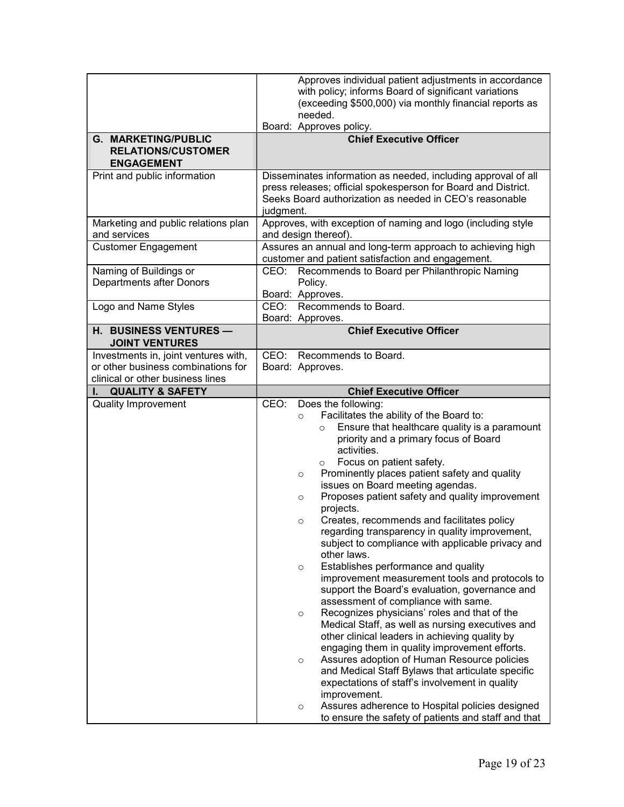|                                                                                                                | Approves individual patient adjustments in accordance<br>with policy; informs Board of significant variations<br>(exceeding \$500,000) via monthly financial reports as<br>needed.<br>Board: Approves policy.                                                                                                                                                                                                                                                                                                                                                                                                                                                                                                                                                                                                                                                                                                                                                                                                                                                                                                                                                                                                                                                                                                                |
|----------------------------------------------------------------------------------------------------------------|------------------------------------------------------------------------------------------------------------------------------------------------------------------------------------------------------------------------------------------------------------------------------------------------------------------------------------------------------------------------------------------------------------------------------------------------------------------------------------------------------------------------------------------------------------------------------------------------------------------------------------------------------------------------------------------------------------------------------------------------------------------------------------------------------------------------------------------------------------------------------------------------------------------------------------------------------------------------------------------------------------------------------------------------------------------------------------------------------------------------------------------------------------------------------------------------------------------------------------------------------------------------------------------------------------------------------|
| <b>G. MARKETING/PUBLIC</b><br><b>RELATIONS/CUSTOMER</b><br><b>ENGAGEMENT</b>                                   | <b>Chief Executive Officer</b>                                                                                                                                                                                                                                                                                                                                                                                                                                                                                                                                                                                                                                                                                                                                                                                                                                                                                                                                                                                                                                                                                                                                                                                                                                                                                               |
| Print and public information                                                                                   | Disseminates information as needed, including approval of all<br>press releases; official spokesperson for Board and District.<br>Seeks Board authorization as needed in CEO's reasonable<br>judgment.                                                                                                                                                                                                                                                                                                                                                                                                                                                                                                                                                                                                                                                                                                                                                                                                                                                                                                                                                                                                                                                                                                                       |
| Marketing and public relations plan<br>and services                                                            | Approves, with exception of naming and logo (including style<br>and design thereof).                                                                                                                                                                                                                                                                                                                                                                                                                                                                                                                                                                                                                                                                                                                                                                                                                                                                                                                                                                                                                                                                                                                                                                                                                                         |
| <b>Customer Engagement</b>                                                                                     | Assures an annual and long-term approach to achieving high<br>customer and patient satisfaction and engagement.                                                                                                                                                                                                                                                                                                                                                                                                                                                                                                                                                                                                                                                                                                                                                                                                                                                                                                                                                                                                                                                                                                                                                                                                              |
| Naming of Buildings or<br><b>Departments after Donors</b>                                                      | Recommends to Board per Philanthropic Naming<br>CEO:<br>Policy.<br>Board: Approves.                                                                                                                                                                                                                                                                                                                                                                                                                                                                                                                                                                                                                                                                                                                                                                                                                                                                                                                                                                                                                                                                                                                                                                                                                                          |
| Logo and Name Styles                                                                                           | CEO: Recommends to Board.<br>Board: Approves.                                                                                                                                                                                                                                                                                                                                                                                                                                                                                                                                                                                                                                                                                                                                                                                                                                                                                                                                                                                                                                                                                                                                                                                                                                                                                |
| H. BUSINESS VENTURES -<br><b>JOINT VENTURES</b>                                                                | <b>Chief Executive Officer</b>                                                                                                                                                                                                                                                                                                                                                                                                                                                                                                                                                                                                                                                                                                                                                                                                                                                                                                                                                                                                                                                                                                                                                                                                                                                                                               |
| Investments in, joint ventures with,<br>or other business combinations for<br>clinical or other business lines | CEO:<br>Recommends to Board.<br>Board: Approves.                                                                                                                                                                                                                                                                                                                                                                                                                                                                                                                                                                                                                                                                                                                                                                                                                                                                                                                                                                                                                                                                                                                                                                                                                                                                             |
| <b>QUALITY &amp; SAFETY</b>                                                                                    | <b>Chief Executive Officer</b>                                                                                                                                                                                                                                                                                                                                                                                                                                                                                                                                                                                                                                                                                                                                                                                                                                                                                                                                                                                                                                                                                                                                                                                                                                                                                               |
| <b>Quality Improvement</b>                                                                                     | Does the following:<br>CEO:<br>Facilitates the ability of the Board to:<br>$\circ$<br>Ensure that healthcare quality is a paramount<br>$\circ$<br>priority and a primary focus of Board<br>activities.<br>Focus on patient safety.<br>$\circ$<br>Prominently places patient safety and quality<br>$\circ$<br>issues on Board meeting agendas.<br>Proposes patient safety and quality improvement<br>$\circ$<br>projects.<br>Creates, recommends and facilitates policy<br>$\circ$<br>regarding transparency in quality improvement,<br>subject to compliance with applicable privacy and<br>other laws.<br>Establishes performance and quality<br>$\circ$<br>improvement measurement tools and protocols to<br>support the Board's evaluation, governance and<br>assessment of compliance with same.<br>Recognizes physicians' roles and that of the<br>$\circ$<br>Medical Staff, as well as nursing executives and<br>other clinical leaders in achieving quality by<br>engaging them in quality improvement efforts.<br>Assures adoption of Human Resource policies<br>$\circ$<br>and Medical Staff Bylaws that articulate specific<br>expectations of staff's involvement in quality<br>improvement.<br>Assures adherence to Hospital policies designed<br>$\circ$<br>to ensure the safety of patients and staff and that |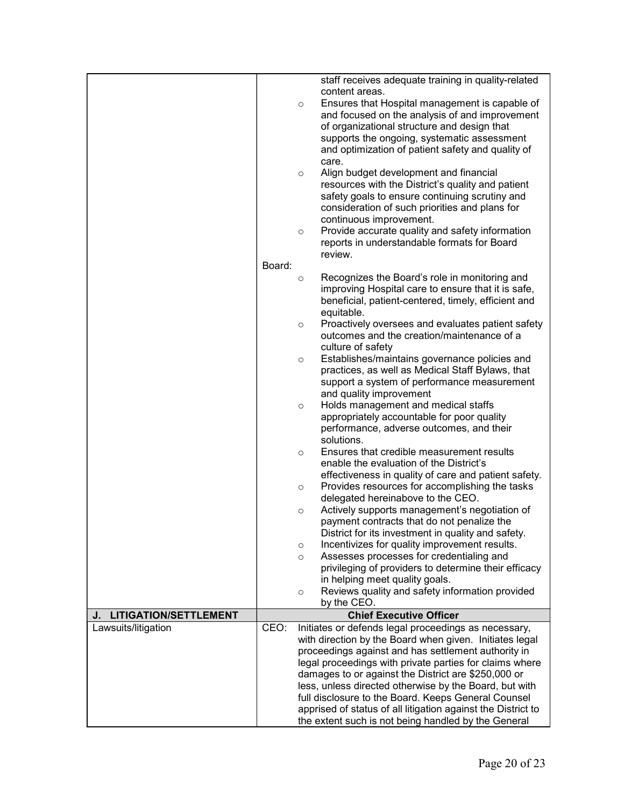|                                    |        |         | staff receives adequate training in quality-related                                               |
|------------------------------------|--------|---------|---------------------------------------------------------------------------------------------------|
|                                    |        |         | content areas.<br>Ensures that Hospital management is capable of                                  |
|                                    |        | $\circ$ | and focused on the analysis of and improvement                                                    |
|                                    |        |         | of organizational structure and design that                                                       |
|                                    |        |         | supports the ongoing, systematic assessment                                                       |
|                                    |        |         | and optimization of patient safety and quality of                                                 |
|                                    |        |         | care.                                                                                             |
|                                    |        | $\circ$ | Align budget development and financial                                                            |
|                                    |        |         | resources with the District's quality and patient                                                 |
|                                    |        |         | safety goals to ensure continuing scrutiny and                                                    |
|                                    |        |         | consideration of such priorities and plans for                                                    |
|                                    |        |         | continuous improvement.                                                                           |
|                                    |        | $\circ$ | Provide accurate quality and safety information<br>reports in understandable formats for Board    |
|                                    |        |         | review.                                                                                           |
|                                    | Board: |         |                                                                                                   |
|                                    |        | $\circ$ | Recognizes the Board's role in monitoring and                                                     |
|                                    |        |         | improving Hospital care to ensure that it is safe,                                                |
|                                    |        |         | beneficial, patient-centered, timely, efficient and                                               |
|                                    |        |         | equitable.                                                                                        |
|                                    |        | $\circ$ | Proactively oversees and evaluates patient safety                                                 |
|                                    |        |         | outcomes and the creation/maintenance of a                                                        |
|                                    |        |         | culture of safety                                                                                 |
|                                    |        | $\circ$ | Establishes/maintains governance policies and<br>practices, as well as Medical Staff Bylaws, that |
|                                    |        |         | support a system of performance measurement                                                       |
|                                    |        |         | and quality improvement                                                                           |
|                                    |        | $\circ$ | Holds management and medical staffs                                                               |
|                                    |        |         | appropriately accountable for poor quality                                                        |
|                                    |        |         | performance, adverse outcomes, and their                                                          |
|                                    |        |         | solutions.                                                                                        |
|                                    |        | $\circ$ | Ensures that credible measurement results                                                         |
|                                    |        |         | enable the evaluation of the District's                                                           |
|                                    |        |         | effectiveness in quality of care and patient safety.                                              |
|                                    |        | $\circ$ | Provides resources for accomplishing the tasks<br>delegated hereinabove to the CEO.               |
|                                    |        | $\circ$ | Actively supports management's negotiation of                                                     |
|                                    |        |         | payment contracts that do not penalize the                                                        |
|                                    |        |         | District for its investment in quality and safety.                                                |
|                                    |        | $\circ$ | Incentivizes for quality improvement results.                                                     |
|                                    |        | $\circ$ | Assesses processes for credentialing and                                                          |
|                                    |        |         | privileging of providers to determine their efficacy                                              |
|                                    |        |         | in helping meet quality goals.                                                                    |
|                                    |        | $\circ$ | Reviews quality and safety information provided                                                   |
| <b>LITIGATION/SETTLEMENT</b><br>J. |        |         | by the CEO.<br><b>Chief Executive Officer</b>                                                     |
| Lawsuits/litigation                | CEO:   |         | Initiates or defends legal proceedings as necessary,                                              |
|                                    |        |         | with direction by the Board when given. Initiates legal                                           |
|                                    |        |         | proceedings against and has settlement authority in                                               |
|                                    |        |         | legal proceedings with private parties for claims where                                           |
|                                    |        |         | damages to or against the District are \$250,000 or                                               |
|                                    |        |         | less, unless directed otherwise by the Board, but with                                            |
|                                    |        |         | full disclosure to the Board. Keeps General Counsel                                               |
|                                    |        |         | apprised of status of all litigation against the District to                                      |
|                                    |        |         | the extent such is not being handled by the General                                               |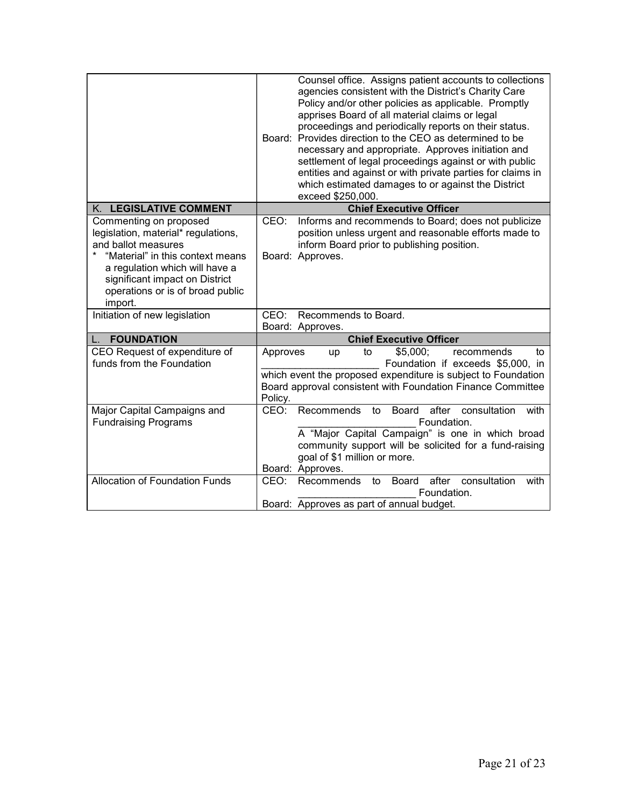|                                                                                                                                                                                                                                             | Counsel office. Assigns patient accounts to collections<br>agencies consistent with the District's Charity Care<br>Policy and/or other policies as applicable. Promptly<br>apprises Board of all material claims or legal<br>proceedings and periodically reports on their status.<br>Board: Provides direction to the CEO as determined to be<br>necessary and appropriate. Approves initiation and<br>settlement of legal proceedings against or with public<br>entities and against or with private parties for claims in<br>which estimated damages to or against the District<br>exceed \$250,000. |
|---------------------------------------------------------------------------------------------------------------------------------------------------------------------------------------------------------------------------------------------|---------------------------------------------------------------------------------------------------------------------------------------------------------------------------------------------------------------------------------------------------------------------------------------------------------------------------------------------------------------------------------------------------------------------------------------------------------------------------------------------------------------------------------------------------------------------------------------------------------|
| K. LEGISLATIVE COMMENT                                                                                                                                                                                                                      | <b>Chief Executive Officer</b>                                                                                                                                                                                                                                                                                                                                                                                                                                                                                                                                                                          |
| Commenting on proposed<br>legislation, material* regulations,<br>and ballot measures<br>"Material" in this context means<br>a regulation which will have a<br>significant impact on District<br>operations or is of broad public<br>import. | CEO:<br>Informs and recommends to Board; does not publicize<br>position unless urgent and reasonable efforts made to<br>inform Board prior to publishing position.<br>Board: Approves.                                                                                                                                                                                                                                                                                                                                                                                                                  |
| Initiation of new legislation                                                                                                                                                                                                               | CEO: Recommends to Board.<br>Board: Approves.                                                                                                                                                                                                                                                                                                                                                                                                                                                                                                                                                           |
| <b>FOUNDATION</b>                                                                                                                                                                                                                           | <b>Chief Executive Officer</b>                                                                                                                                                                                                                                                                                                                                                                                                                                                                                                                                                                          |
| CEO Request of expenditure of<br>funds from the Foundation                                                                                                                                                                                  | \$5,000;<br>Approves<br>recommends<br>up<br>to<br>to<br>Foundation if exceeds \$5,000, in<br>which event the proposed expenditure is subject to Foundation<br>Board approval consistent with Foundation Finance Committee<br>Policy.                                                                                                                                                                                                                                                                                                                                                                    |
| Major Capital Campaigns and<br><b>Fundraising Programs</b>                                                                                                                                                                                  | Recommends<br>after<br>consultation<br>CEO:<br><b>Board</b><br>to<br>with<br>Foundation.<br>A "Major Capital Campaign" is one in which broad<br>community support will be solicited for a fund-raising<br>goal of \$1 million or more.<br>Board: Approves.                                                                                                                                                                                                                                                                                                                                              |
| <b>Allocation of Foundation Funds</b>                                                                                                                                                                                                       | consultation<br>after<br>CEO:<br>Recommends<br>Board<br>with<br>to<br>Foundation.<br>Board: Approves as part of annual budget.                                                                                                                                                                                                                                                                                                                                                                                                                                                                          |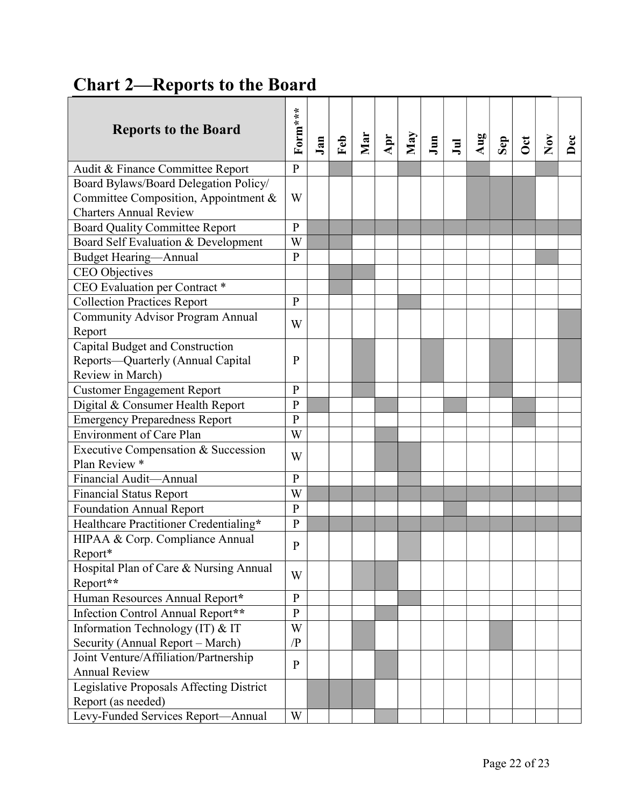# Chart 2—Reports to the Board

| <b>Reports to the Board</b>              | Form***        | Jan | Feb | Mar | Apr | May | Jun | $J$ ul | Aug | Sep | $\cot$ | Nov | Dec |  |
|------------------------------------------|----------------|-----|-----|-----|-----|-----|-----|--------|-----|-----|--------|-----|-----|--|
| Audit & Finance Committee Report         | $\mathbf{P}$   |     |     |     |     |     |     |        |     |     |        |     |     |  |
| Board Bylaws/Board Delegation Policy/    |                |     |     |     |     |     |     |        |     |     |        |     |     |  |
| Committee Composition, Appointment &     | W              |     |     |     |     |     |     |        |     |     |        |     |     |  |
| <b>Charters Annual Review</b>            |                |     |     |     |     |     |     |        |     |     |        |     |     |  |
| <b>Board Quality Committee Report</b>    | $\mathbf{P}$   |     |     |     |     |     |     |        |     |     |        |     |     |  |
| Board Self Evaluation & Development      | W              |     |     |     |     |     |     |        |     |     |        |     |     |  |
| <b>Budget Hearing-Annual</b>             | ${\bf P}$      |     |     |     |     |     |     |        |     |     |        |     |     |  |
| CEO Objectives                           |                |     |     |     |     |     |     |        |     |     |        |     |     |  |
| CEO Evaluation per Contract *            |                |     |     |     |     |     |     |        |     |     |        |     |     |  |
| <b>Collection Practices Report</b>       | $\mathbf{P}$   |     |     |     |     |     |     |        |     |     |        |     |     |  |
| <b>Community Advisor Program Annual</b>  | W              |     |     |     |     |     |     |        |     |     |        |     |     |  |
| Report                                   |                |     |     |     |     |     |     |        |     |     |        |     |     |  |
| Capital Budget and Construction          |                |     |     |     |     |     |     |        |     |     |        |     |     |  |
| Reports-Quarterly (Annual Capital        | $\mathbf{P}$   |     |     |     |     |     |     |        |     |     |        |     |     |  |
| Review in March)                         |                |     |     |     |     |     |     |        |     |     |        |     |     |  |
| <b>Customer Engagement Report</b>        | $\mathbf{P}$   |     |     |     |     |     |     |        |     |     |        |     |     |  |
| Digital & Consumer Health Report         | P              |     |     |     |     |     |     |        |     |     |        |     |     |  |
| <b>Emergency Preparedness Report</b>     | P              |     |     |     |     |     |     |        |     |     |        |     |     |  |
| <b>Environment of Care Plan</b>          | W              |     |     |     |     |     |     |        |     |     |        |     |     |  |
| Executive Compensation & Succession      | W              |     |     |     |     |     |     |        |     |     |        |     |     |  |
| Plan Review *                            |                |     |     |     |     |     |     |        |     |     |        |     |     |  |
| Financial Audit-Annual                   | ${\bf P}$      |     |     |     |     |     |     |        |     |     |        |     |     |  |
| <b>Financial Status Report</b>           | W              |     |     |     |     |     |     |        |     |     |        |     |     |  |
| <b>Foundation Annual Report</b>          | $\mathbf{P}$   |     |     |     |     |     |     |        |     |     |        |     |     |  |
| Healthcare Practitioner Credentialing*   | $\overline{P}$ |     |     |     |     |     |     |        |     |     |        |     |     |  |
| HIPAA & Corp. Compliance Annual          | P              |     |     |     |     |     |     |        |     |     |        |     |     |  |
| Report*                                  |                |     |     |     |     |     |     |        |     |     |        |     |     |  |
| Hospital Plan of Care & Nursing Annual   | W              |     |     |     |     |     |     |        |     |     |        |     |     |  |
| Report**                                 |                |     |     |     |     |     |     |        |     |     |        |     |     |  |
| Human Resources Annual Report*           | $\mathbf{P}$   |     |     |     |     |     |     |        |     |     |        |     |     |  |
| Infection Control Annual Report**        | P              |     |     |     |     |     |     |        |     |     |        |     |     |  |
| Information Technology (IT) & IT         | W              |     |     |     |     |     |     |        |     |     |        |     |     |  |
| Security (Annual Report - March)         | $\sqrt{P}$     |     |     |     |     |     |     |        |     |     |        |     |     |  |
| Joint Venture/Affiliation/Partnership    | $\mathbf{P}$   |     |     |     |     |     |     |        |     |     |        |     |     |  |
| <b>Annual Review</b>                     |                |     |     |     |     |     |     |        |     |     |        |     |     |  |
| Legislative Proposals Affecting District |                |     |     |     |     |     |     |        |     |     |        |     |     |  |
| Report (as needed)                       |                |     |     |     |     |     |     |        |     |     |        |     |     |  |
| Levy-Funded Services Report-Annual       | W              |     |     |     |     |     |     |        |     |     |        |     |     |  |